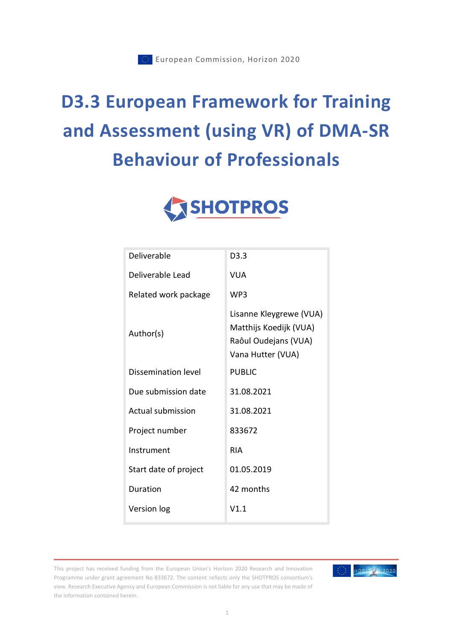# **D3.3 European Framework for Training and Assessment (using VR) of DMA-SR Behaviour of Professionals**



| Deliverable           | D3.3                                                                                           |
|-----------------------|------------------------------------------------------------------------------------------------|
| Deliverable Lead      | VUA                                                                                            |
| Related work package  | WP3                                                                                            |
| Author(s)             | Lisanne Kleygrewe (VUA)<br>Matthijs Koedijk (VUA)<br>Raôul Oudejans (VUA)<br>Vana Hutter (VUA) |
| Dissemination level   | <b>PUBLIC</b>                                                                                  |
| Due submission date   | 31.08.2021                                                                                     |
| Actual submission     | 31.08.2021                                                                                     |
| Project number        | 833672                                                                                         |
| Instrument            | <b>RIA</b>                                                                                     |
| Start date of project | 01.05.2019                                                                                     |
| Duration              | 42 months                                                                                      |
| Version log           | V1.1                                                                                           |

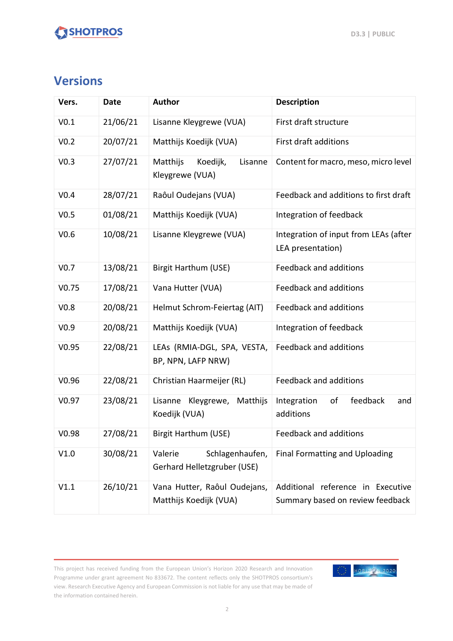### **Versions**

| Vers.             | <b>Date</b> | <b>Author</b><br><b>Description</b>                       |                                                                       |
|-------------------|-------------|-----------------------------------------------------------|-----------------------------------------------------------------------|
| V <sub>0.1</sub>  | 21/06/21    | Lisanne Kleygrewe (VUA)                                   | First draft structure                                                 |
| V <sub>0.2</sub>  | 20/07/21    | Matthijs Koedijk (VUA)                                    | First draft additions                                                 |
| V <sub>0.3</sub>  | 27/07/21    | Matthijs<br>Koedijk,<br>Lisanne<br>Kleygrewe (VUA)        | Content for macro, meso, micro level                                  |
| V <sub>0.4</sub>  | 28/07/21    | Raôul Oudejans (VUA)                                      | Feedback and additions to first draft                                 |
| V <sub>0.5</sub>  | 01/08/21    | Matthijs Koedijk (VUA)                                    | Integration of feedback                                               |
| V0.6              | 10/08/21    | Lisanne Kleygrewe (VUA)                                   | Integration of input from LEAs (after<br>LEA presentation)            |
| V <sub>0.7</sub>  | 13/08/21    | <b>Birgit Harthum (USE)</b>                               | <b>Feedback and additions</b>                                         |
| V <sub>0.75</sub> | 17/08/21    | Vana Hutter (VUA)                                         | Feedback and additions                                                |
| V <sub>0.8</sub>  | 20/08/21    | Helmut Schrom-Feiertag (AIT)                              | Feedback and additions                                                |
| V <sub>0.9</sub>  | 20/08/21    | Matthijs Koedijk (VUA)                                    | Integration of feedback                                               |
| V <sub>0.95</sub> | 22/08/21    | LEAs (RMIA-DGL, SPA, VESTA,<br>BP, NPN, LAFP NRW)         | Feedback and additions                                                |
| V0.96             | 22/08/21    | Christian Haarmeijer (RL)                                 | Feedback and additions                                                |
| V <sub>0.97</sub> | 23/08/21    | Lisanne Kleygrewe, Matthijs<br>Koedijk (VUA)              | feedback<br>Integration<br>of<br>and<br>additions                     |
| V0.98             | 27/08/21    | Birgit Harthum (USE)                                      | Feedback and additions                                                |
| V1.0              | 30/08/21    | Schlagenhaufen,<br>Valerie<br>Gerhard Helletzgruber (USE) | Final Formatting and Uploading                                        |
| V1.1              | 26/10/21    | Vana Hutter, Raôul Oudejans,<br>Matthijs Koedijk (VUA)    | Additional reference in Executive<br>Summary based on review feedback |

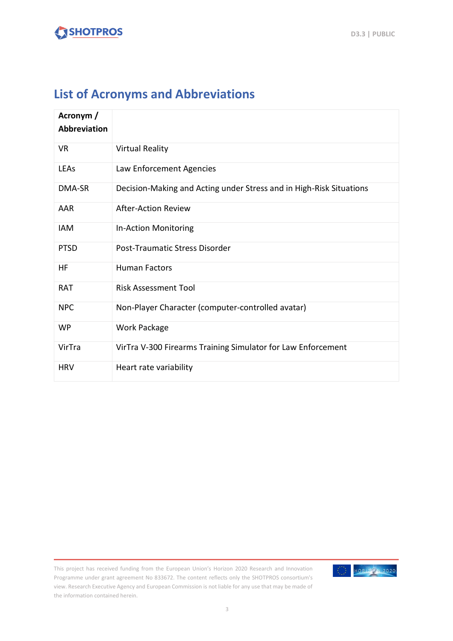### **List of Acronyms and Abbreviations**

| Acronym /<br><b>Abbreviation</b> |                                                                     |  |
|----------------------------------|---------------------------------------------------------------------|--|
| <b>VR</b>                        | <b>Virtual Reality</b>                                              |  |
| LEAs                             | Law Enforcement Agencies                                            |  |
| DMA-SR                           | Decision-Making and Acting under Stress and in High-Risk Situations |  |
| AAR                              | <b>After-Action Review</b>                                          |  |
| <b>IAM</b>                       | In-Action Monitoring                                                |  |
| <b>PTSD</b>                      | Post-Traumatic Stress Disorder                                      |  |
| HF                               | <b>Human Factors</b>                                                |  |
| <b>RAT</b>                       | <b>Risk Assessment Tool</b>                                         |  |
| <b>NPC</b>                       | Non-Player Character (computer-controlled avatar)                   |  |
| <b>WP</b>                        | <b>Work Package</b>                                                 |  |
| VirTra                           | VirTra V-300 Firearms Training Simulator for Law Enforcement        |  |
| <b>HRV</b>                       | Heart rate variability                                              |  |

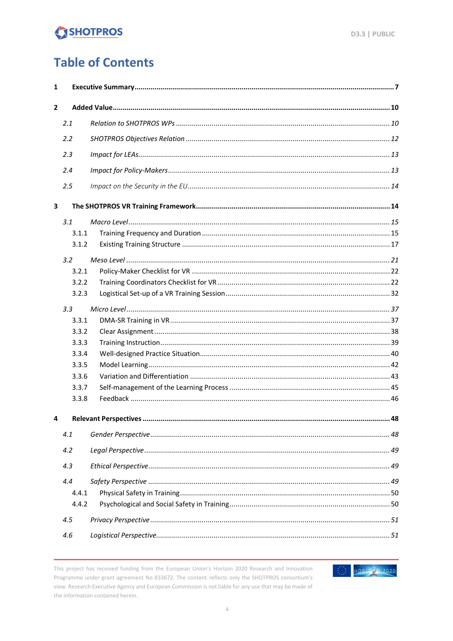### **Table of Contents**

| 1            |       |  |  |
|--------------|-------|--|--|
| $\mathbf{2}$ |       |  |  |
|              | 2.1   |  |  |
|              | 2.2   |  |  |
|              | 2.3   |  |  |
|              |       |  |  |
|              | 2.4   |  |  |
|              | 2.5   |  |  |
| 3            |       |  |  |
|              | 3.1   |  |  |
|              | 3.1.1 |  |  |
|              | 3.1.2 |  |  |
|              | 3.2   |  |  |
|              | 3.2.1 |  |  |
|              | 3.2.2 |  |  |
|              | 3.2.3 |  |  |
|              | 3.3   |  |  |
|              | 3.3.1 |  |  |
|              | 3.3.2 |  |  |
|              | 3.3.3 |  |  |
|              | 3.3.4 |  |  |
|              | 3.3.5 |  |  |
|              | 3.3.6 |  |  |
|              | 3.3.7 |  |  |
|              | 3.3.8 |  |  |
| 4            |       |  |  |
|              | 4.1   |  |  |
|              | 4.2   |  |  |
|              | 4.3   |  |  |
|              | 4.4   |  |  |
|              | 4.4.1 |  |  |
|              | 4.4.2 |  |  |
|              | 4.5   |  |  |
|              | 4.6   |  |  |

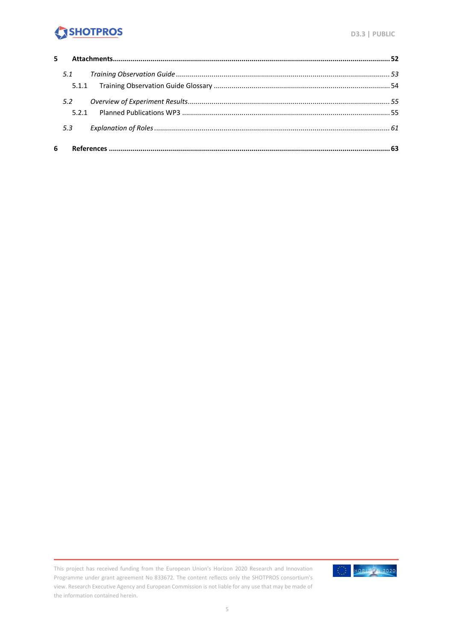| 5. |              |  |
|----|--------------|--|
|    | 5.1<br>5.1.1 |  |
|    | 5.2<br>521   |  |
|    | 5.3          |  |
| 6  |              |  |

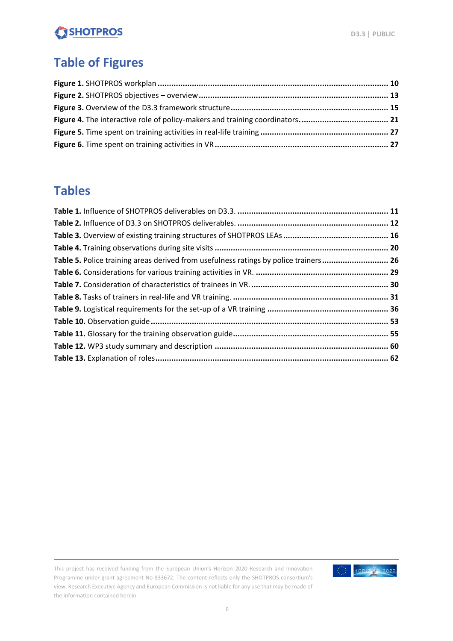### **Table of Figures**

### **Tables**

| Table 5. Police training areas derived from usefulness ratings by police trainers 26 |  |
|--------------------------------------------------------------------------------------|--|
|                                                                                      |  |
|                                                                                      |  |
|                                                                                      |  |
|                                                                                      |  |
|                                                                                      |  |
|                                                                                      |  |
|                                                                                      |  |
|                                                                                      |  |
|                                                                                      |  |

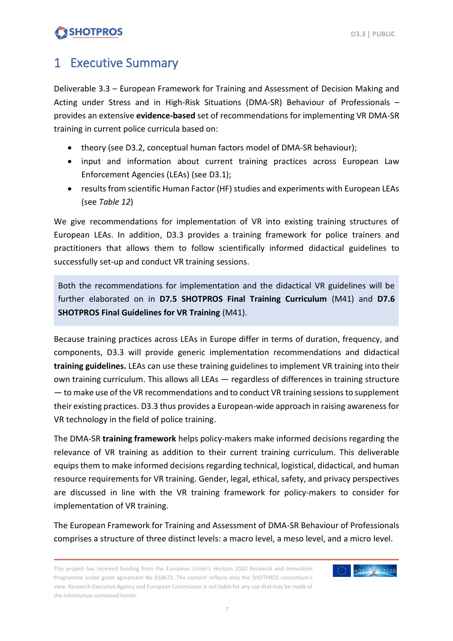### <span id="page-6-0"></span>1 Executive Summary

Deliverable 3.3 – European Framework for Training and Assessment of Decision Making and Acting under Stress and in High-Risk Situations (DMA-SR) Behaviour of Professionals – provides an extensive **evidence-based** set of recommendations for implementing VR DMA-SR training in current police curricula based on:

- theory (see D3.2, conceptual human factors model of DMA-SR behaviour);
- input and information about current training practices across European Law Enforcement Agencies (LEAs) (see D3.1);
- results from scientific Human Factor (HF) studies and experiments with European LEAs (see *Table 12*)

We give recommendations for implementation of VR into existing training structures of European LEAs. In addition, D3.3 provides a training framework for police trainers and practitioners that allows them to follow scientifically informed didactical guidelines to successfully set-up and conduct VR training sessions.

Both the recommendations for implementation and the didactical VR guidelines will be further elaborated on in **D7.5 SHOTPROS Final Training Curriculum** (M41) and **D7.6 SHOTPROS Final Guidelines for VR Training** (M41).

Because training practices across LEAs in Europe differ in terms of duration, frequency, and components, D3.3 will provide generic implementation recommendations and didactical **training guidelines.** LEAs can use these training guidelines to implement VR training into their own training curriculum. This allows all LEAs — regardless of differences in training structure — to make use of the VR recommendations and to conduct VR training sessions to supplement their existing practices. D3.3 thus provides a European-wide approach in raising awareness for VR technology in the field of police training.

The DMA-SR **training framework** helps policy-makers make informed decisions regarding the relevance of VR training as addition to their current training curriculum. This deliverable equips them to make informed decisions regarding technical, logistical, didactical, and human resource requirements for VR training. Gender, legal, ethical, safety, and privacy perspectives are discussed in line with the VR training framework for policy-makers to consider for implementation of VR training.

The European Framework for Training and Assessment of DMA-SR Behaviour of Professionals comprises a structure of three distinct levels: a macro level, a meso level, and a micro level.

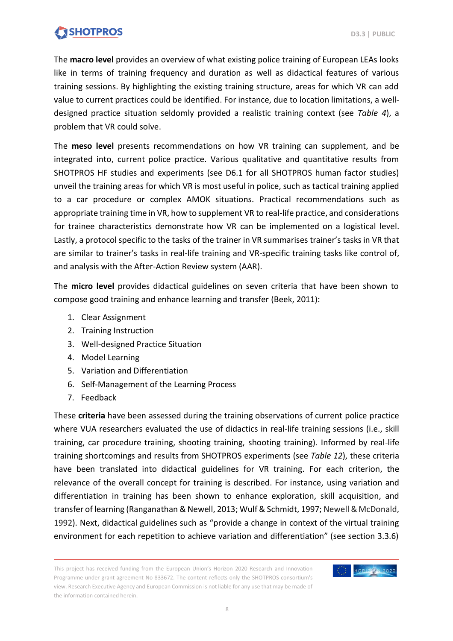The **macro level** provides an overview of what existing police training of European LEAs looks like in terms of training frequency and duration as well as didactical features of various training sessions. By highlighting the existing training structure, areas for which VR can add value to current practices could be identified. For instance, due to location limitations, a welldesigned practice situation seldomly provided a realistic training context (see *Table 4*), a problem that VR could solve.

The **meso level** presents recommendations on how VR training can supplement, and be integrated into, current police practice. Various qualitative and quantitative results from SHOTPROS HF studies and experiments (see D6.1 for all SHOTPROS human factor studies) unveil the training areas for which VR is most useful in police, such as tactical training applied to a car procedure or complex AMOK situations. Practical recommendations such as appropriate training time in VR, how to supplement VR to real-life practice, and considerations for trainee characteristics demonstrate how VR can be implemented on a logistical level. Lastly, a protocol specific to the tasks of the trainer in VR summarises trainer's tasksin VR that are similar to trainer's tasks in real-life training and VR-specific training tasks like control of, and analysis with the After-Action Review system (AAR).

The **micro level** provides didactical guidelines on seven criteria that have been shown to compose good training and enhance learning and transfer (Beek, 2011):

- 1. Clear Assignment
- 2. Training Instruction
- 3. Well-designed Practice Situation
- 4. Model Learning
- 5. Variation and Differentiation
- 6. Self-Management of the Learning Process
- 7. Feedback

These **criteria** have been assessed during the training observations of current police practice where VUA researchers evaluated the use of didactics in real-life training sessions (i.e., skill training, car procedure training, shooting training, shooting training). Informed by real-life training shortcomings and results from SHOTPROS experiments (see *Table 12*), these criteria have been translated into didactical guidelines for VR training. For each criterion, the relevance of the overall concept for training is described. For instance, using variation and differentiation in training has been shown to enhance exploration, skill acquisition, and transfer of learning (Ranganathan & Newell, 2013; Wulf & Schmidt, 1997; Newell & McDonald, 1992). Next, didactical guidelines such as "provide a change in context of the virtual training environment for each repetition to achieve variation and differentiation" (see section 3.3.6)

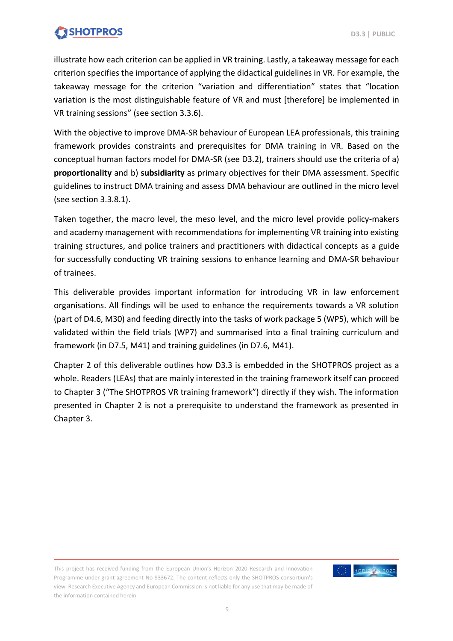illustrate how each criterion can be applied in VR training. Lastly, a takeaway message for each criterion specifies the importance of applying the didactical guidelines in VR. For example, the takeaway message for the criterion "variation and differentiation" states that "location variation is the most distinguishable feature of VR and must [therefore] be implemented in VR training sessions" (see section 3.3.6).

With the objective to improve DMA-SR behaviour of European LEA professionals, this training framework provides constraints and prerequisites for DMA training in VR. Based on the conceptual human factors model for DMA-SR (see D3.2), trainers should use the criteria of a) **proportionality** and b) **subsidiarity** as primary objectives for their DMA assessment. Specific guidelines to instruct DMA training and assess DMA behaviour are outlined in the micro level (see section 3.3.8.1).

Taken together, the macro level, the meso level, and the micro level provide policy-makers and academy management with recommendations for implementing VR training into existing training structures, and police trainers and practitioners with didactical concepts as a guide for successfully conducting VR training sessions to enhance learning and DMA-SR behaviour of trainees.

This deliverable provides important information for introducing VR in law enforcement organisations. All findings will be used to enhance the requirements towards a VR solution (part of D4.6, M30) and feeding directly into the tasks of work package 5 (WP5), which will be validated within the field trials (WP7) and summarised into a final training curriculum and framework (in D7.5, M41) and training guidelines (in D7.6, M41).

Chapter 2 of this deliverable outlines how D3.3 is embedded in the SHOTPROS project as a whole. Readers (LEAs) that are mainly interested in the training framework itself can proceed to Chapter 3 ("The SHOTPROS VR training framework") directly if they wish. The information presented in Chapter 2 is not a prerequisite to understand the framework as presented in Chapter 3.

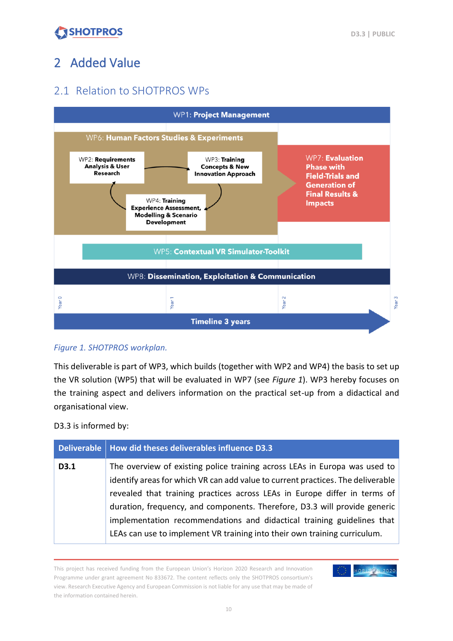## <span id="page-9-0"></span>2 Added Value

### <span id="page-9-1"></span>2.1 Relation to SHOTPROS WPs



#### <span id="page-9-2"></span>*Figure 1. SHOTPROS workplan.*

This deliverable is part of WP3, which builds (together with WP2 and WP4) the basis to set up the VR solution (WP5) that will be evaluated in WP7 (see *Figure 1*). WP3 hereby focuses on the training aspect and delivers information on the practical set-up from a didactical and organisational view.

D3.3 is informed by:

| <b>Deliverable</b> | How did theses deliverables influence D3.3                                                                                                                                                                                                 |
|--------------------|--------------------------------------------------------------------------------------------------------------------------------------------------------------------------------------------------------------------------------------------|
| D3.1               | The overview of existing police training across LEAs in Europa was used to<br>identify areas for which VR can add value to current practices. The deliverable<br>revealed that training practices across LEAs in Europe differ in terms of |
|                    | duration, frequency, and components. Therefore, D3.3 will provide generic<br>implementation recommendations and didactical training guidelines that<br>LEAs can use to implement VR training into their own training curriculum.           |

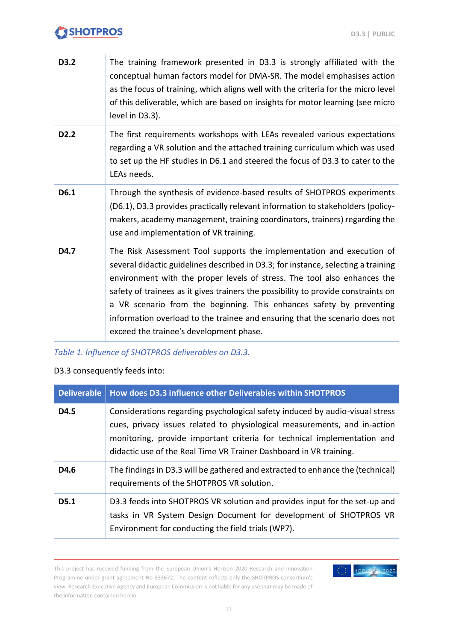| D3.2              | The training framework presented in D3.3 is strongly affiliated with the<br>conceptual human factors model for DMA-SR. The model emphasises action<br>as the focus of training, which aligns well with the criteria for the micro level<br>of this deliverable, which are based on insights for motor learning (see micro<br>level in D3.3).                                                                                                                                                                                  |
|-------------------|-------------------------------------------------------------------------------------------------------------------------------------------------------------------------------------------------------------------------------------------------------------------------------------------------------------------------------------------------------------------------------------------------------------------------------------------------------------------------------------------------------------------------------|
| D <sub>2</sub> .2 | The first requirements workshops with LEAs revealed various expectations<br>regarding a VR solution and the attached training curriculum which was used<br>to set up the HF studies in D6.1 and steered the focus of D3.3 to cater to the<br>LEAs needs.                                                                                                                                                                                                                                                                      |
| D6.1              | Through the synthesis of evidence-based results of SHOTPROS experiments<br>(D6.1), D3.3 provides practically relevant information to stakeholders (policy-<br>makers, academy management, training coordinators, trainers) regarding the<br>use and implementation of VR training.                                                                                                                                                                                                                                            |
| D4.7              | The Risk Assessment Tool supports the implementation and execution of<br>several didactic guidelines described in D3.3; for instance, selecting a training<br>environment with the proper levels of stress. The tool also enhances the<br>safety of trainees as it gives trainers the possibility to provide constraints on<br>a VR scenario from the beginning. This enhances safety by preventing<br>information overload to the trainee and ensuring that the scenario does not<br>exceed the trainee's development phase. |

<span id="page-10-0"></span>*Table 1. Influence of SHOTPROS deliverables on D3.3.*

#### D3.3 consequently feeds into:

| <b>Deliverable</b> | How does D3.3 influence other Deliverables within SHOTPROS                                                                                                                                                                                                                                                 |
|--------------------|------------------------------------------------------------------------------------------------------------------------------------------------------------------------------------------------------------------------------------------------------------------------------------------------------------|
| D4.5               | Considerations regarding psychological safety induced by audio-visual stress<br>cues, privacy issues related to physiological measurements, and in-action<br>monitoring, provide important criteria for technical implementation and<br>didactic use of the Real Time VR Trainer Dashboard in VR training. |
| D4.6               | The findings in D3.3 will be gathered and extracted to enhance the (technical)<br>requirements of the SHOTPROS VR solution.                                                                                                                                                                                |
| D5.1               | D3.3 feeds into SHOTPROS VR solution and provides input for the set-up and<br>tasks in VR System Design Document for development of SHOTPROS VR<br>Environment for conducting the field trials (WP7).                                                                                                      |

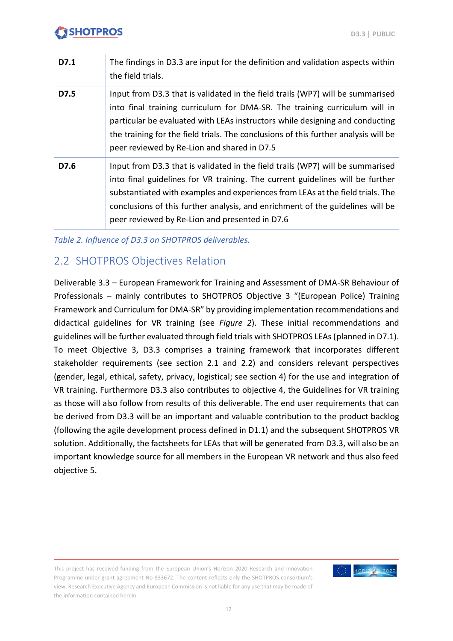| D7.1 | The findings in D3.3 are input for the definition and validation aspects within<br>the field trials.                                                                                                                                                                                                                                                                                  |
|------|---------------------------------------------------------------------------------------------------------------------------------------------------------------------------------------------------------------------------------------------------------------------------------------------------------------------------------------------------------------------------------------|
| D7.5 | Input from D3.3 that is validated in the field trails (WP7) will be summarised<br>into final training curriculum for DMA-SR. The training curriculum will in<br>particular be evaluated with LEAs instructors while designing and conducting<br>the training for the field trials. The conclusions of this further analysis will be<br>peer reviewed by Re-Lion and shared in D7.5    |
| D7.6 | Input from D3.3 that is validated in the field trails (WP7) will be summarised<br>into final guidelines for VR training. The current guidelines will be further<br>substantiated with examples and experiences from LEAs at the field trials. The<br>conclusions of this further analysis, and enrichment of the guidelines will be<br>peer reviewed by Re-Lion and presented in D7.6 |

<span id="page-11-1"></span>*Table 2. Influence of D3.3 on SHOTPROS deliverables.*

### <span id="page-11-0"></span>2.2 SHOTPROS Objectives Relation

Deliverable 3.3 – European Framework for Training and Assessment of DMA-SR Behaviour of Professionals – mainly contributes to SHOTPROS Objective 3 "(European Police) Training Framework and Curriculum for DMA-SR" by providing implementation recommendations and didactical guidelines for VR training (see *Figure 2*). These initial recommendations and guidelines will be further evaluated through field trials with SHOTPROS LEAs (planned in D7.1). To meet Objective 3, D3.3 comprises a training framework that incorporates different stakeholder requirements (see section 2.1 and 2.2) and considers relevant perspectives (gender, legal, ethical, safety, privacy, logistical; see section 4) for the use and integration of VR training. Furthermore D3.3 also contributes to objective 4, the Guidelines for VR training as those will also follow from results of this deliverable. The end user requirements that can be derived from D3.3 will be an important and valuable contribution to the product backlog (following the agile development process defined in D1.1) and the subsequent SHOTPROS VR solution. Additionally, the factsheets for LEAs that will be generated from D3.3, will also be an important knowledge source for all members in the European VR network and thus also feed objective 5.

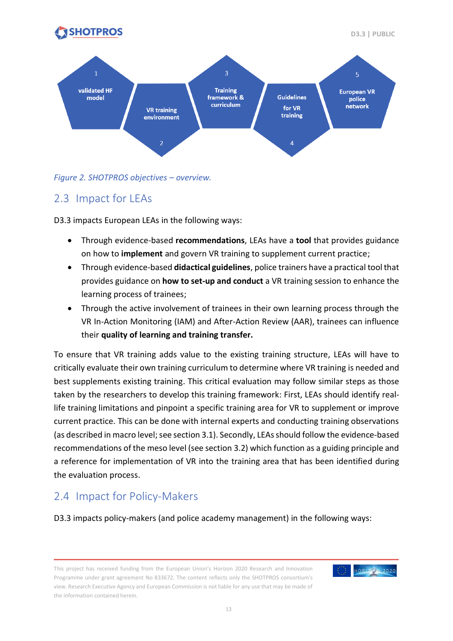



#### <span id="page-12-2"></span>*Figure 2. SHOTPROS objectives – overview.*

### <span id="page-12-0"></span>2.3 Impact for LEAs

D3.3 impacts European LEAs in the following ways:

- Through evidence-based **recommendations**, LEAs have a **tool** that provides guidance on how to **implement** and govern VR training to supplement current practice;
- Through evidence-based **didactical guidelines**, police trainers have a practical tool that provides guidance on **how to set-up and conduct** a VR training session to enhance the learning process of trainees;
- Through the active involvement of trainees in their own learning process through the VR In-Action Monitoring (IAM) and After-Action Review (AAR), trainees can influence their **quality of learning and training transfer.**

To ensure that VR training adds value to the existing training structure, LEAs will have to critically evaluate their own training curriculum to determine where VR training is needed and best supplements existing training. This critical evaluation may follow similar steps as those taken by the researchers to develop this training framework: First, LEAs should identify reallife training limitations and pinpoint a specific training area for VR to supplement or improve current practice. This can be done with internal experts and conducting training observations (as described in macro level; see section 3.1). Secondly, LEAs should follow the evidence-based recommendations of the meso level (see section 3.2) which function as a guiding principle and a reference for implementation of VR into the training area that has been identified during the evaluation process.

### <span id="page-12-1"></span>2.4 Impact for Policy-Makers

D3.3 impacts policy-makers (and police academy management) in the following ways:

This project has received funding from the European Union's Horizon 2020 Research and Innovation Programme under grant agreement No 833672. The content reflects only the SHOTPROS consortium's view. Research Executive Agency and European Commission is not liable for any use that may be made of the information contained herein.

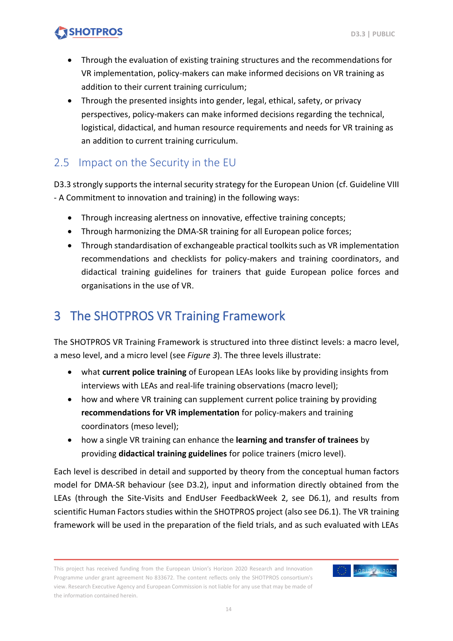- Through the evaluation of existing training structures and the recommendations for VR implementation, policy-makers can make informed decisions on VR training as addition to their current training curriculum;
- Through the presented insights into gender, legal, ethical, safety, or privacy perspectives, policy-makers can make informed decisions regarding the technical, logistical, didactical, and human resource requirements and needs for VR training as an addition to current training curriculum.

### <span id="page-13-0"></span>2.5 Impact on the Security in the EU

D3.3 strongly supports the internal security strategy for the European Union (cf. Guideline VIII - A Commitment to innovation and training) in the following ways:

- Through increasing alertness on innovative, effective training concepts;
- Through harmonizing the DMA-SR training for all European police forces;
- Through standardisation of exchangeable practical toolkits such as VR implementation recommendations and checklists for policy-makers and training coordinators, and didactical training guidelines for trainers that guide European police forces and organisations in the use of VR.

## <span id="page-13-1"></span>3 The SHOTPROS VR Training Framework

The SHOTPROS VR Training Framework is structured into three distinct levels: a macro level, a meso level, and a micro level (see *Figure 3*). The three levels illustrate:

- what **current police training** of European LEAs looks like by providing insights from interviews with LEAs and real-life training observations (macro level);
- how and where VR training can supplement current police training by providing **recommendations for VR implementation** for policy-makers and training coordinators (meso level);
- how a single VR training can enhance the **learning and transfer of trainees** by providing **didactical training guidelines** for police trainers (micro level).

Each level is described in detail and supported by theory from the conceptual human factors model for DMA-SR behaviour (see D3.2), input and information directly obtained from the LEAs (through the Site-Visits and EndUser FeedbackWeek 2, see D6.1), and results from scientific Human Factors studies within the SHOTPROS project (also see D6.1). The VR training framework will be used in the preparation of the field trials, and as such evaluated with LEAs

This project has received funding from the European Union's Horizon 2020 Research and Innovation Programme under grant agreement No 833672. The content reflects only the SHOTPROS consortium's view. Research Executive Agency and European Commission is not liable for any use that may be made of the information contained herein.

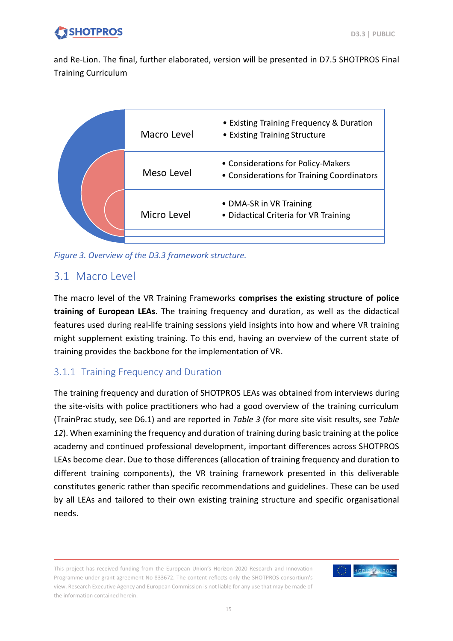and Re-Lion. The final, further elaborated, version will be presented in D7.5 SHOTPROS Final Training Curriculum

| Macro Level | • Existing Training Frequency & Duration<br>• Existing Training Structure        |
|-------------|----------------------------------------------------------------------------------|
| Meso Level  | • Considerations for Policy-Makers<br>• Considerations for Training Coordinators |
| Micro Level | • DMA-SR in VR Training<br>• Didactical Criteria for VR Training                 |

<span id="page-14-2"></span>*Figure 3. Overview of the D3.3 framework structure.*

### <span id="page-14-0"></span>3.1 Macro Level

The macro level of the VR Training Frameworks **comprises the existing structure of police training of European LEAs**. The training frequency and duration, as well as the didactical features used during real-life training sessions yield insights into how and where VR training might supplement existing training. To this end, having an overview of the current state of training provides the backbone for the implementation of VR.

### <span id="page-14-1"></span>3.1.1 Training Frequency and Duration

The training frequency and duration of SHOTPROS LEAs was obtained from interviews during the site-visits with police practitioners who had a good overview of the training curriculum (TrainPrac study, see D6.1) and are reported in *Table 3* (for more site visit results, see *Table 12*). When examining the frequency and duration of training during basic training at the police academy and continued professional development, important differences across SHOTPROS LEAs become clear. Due to those differences (allocation of training frequency and duration to different training components), the VR training framework presented in this deliverable constitutes generic rather than specific recommendations and guidelines. These can be used by all LEAs and tailored to their own existing training structure and specific organisational needs.

This project has received funding from the European Union's Horizon 2020 Research and Innovation Programme under grant agreement No 833672. The content reflects only the SHOTPROS consortium's view. Research Executive Agency and European Commission is not liable for any use that may be made of the information contained herein.

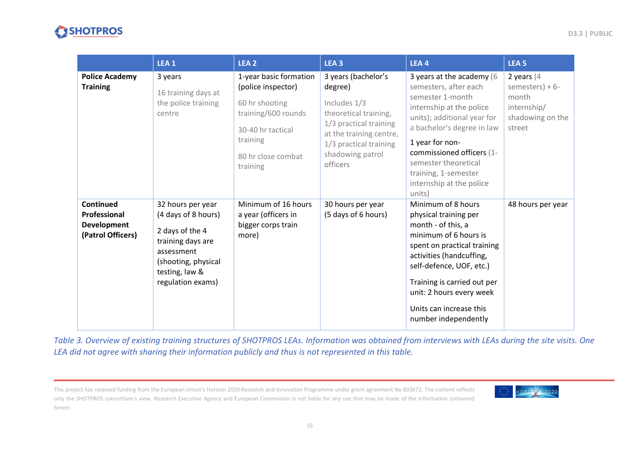

|                                                               | LEA <sub>1</sub>                                                                                                                                             | LEA <sub>2</sub>                                                                                                                                         | LEA <sub>3</sub>                                                                                                                                                                       | LEA4                                                                                                                                                                                                                                                                                                  | LEA <sub>5</sub>                                                                         |
|---------------------------------------------------------------|--------------------------------------------------------------------------------------------------------------------------------------------------------------|----------------------------------------------------------------------------------------------------------------------------------------------------------|----------------------------------------------------------------------------------------------------------------------------------------------------------------------------------------|-------------------------------------------------------------------------------------------------------------------------------------------------------------------------------------------------------------------------------------------------------------------------------------------------------|------------------------------------------------------------------------------------------|
| <b>Police Academy</b><br><b>Training</b>                      | 3 years<br>16 training days at<br>the police training<br>centre                                                                                              | 1-year basic formation<br>(police inspector)<br>60 hr shooting<br>training/600 rounds<br>30-40 hr tactical<br>training<br>80 hr close combat<br>training | 3 years (bachelor's<br>degree)<br>Includes 1/3<br>theoretical training,<br>1/3 practical training<br>at the training centre,<br>1/3 practical training<br>shadowing patrol<br>officers | 3 years at the academy (6<br>semesters, after each<br>semester 1-month<br>internship at the police<br>units); additional year for<br>a bachelor's degree in law<br>1 year for non-<br>commissioned officers (1-<br>semester theoretical<br>training, 1-semester<br>internship at the police<br>units) | 2 years $(4)$<br>semesters) + $6-$<br>month<br>internship/<br>shadowing on the<br>street |
| Continued<br>Professional<br>Development<br>(Patrol Officers) | 32 hours per year<br>(4 days of 8 hours)<br>2 days of the 4<br>training days are<br>assessment<br>(shooting, physical<br>testing, law &<br>regulation exams) | Minimum of 16 hours<br>a year (officers in<br>bigger corps train<br>more)                                                                                | 30 hours per year<br>(5 days of 6 hours)                                                                                                                                               | Minimum of 8 hours<br>physical training per<br>month - of this, a<br>minimum of 6 hours is<br>spent on practical training<br>activities (handcuffing,<br>self-defence, UOF, etc.)<br>Training is carried out per<br>unit: 2 hours every week<br>Units can increase this<br>number independently       | 48 hours per year                                                                        |

<span id="page-15-0"></span>*Table 3. Overview of existing training structures of SHOTPROS LEAs. Information was obtained from interviews with LEAs during the site visits. One LEA did not agree with sharing their information publicly and thus is not represented in this table.*

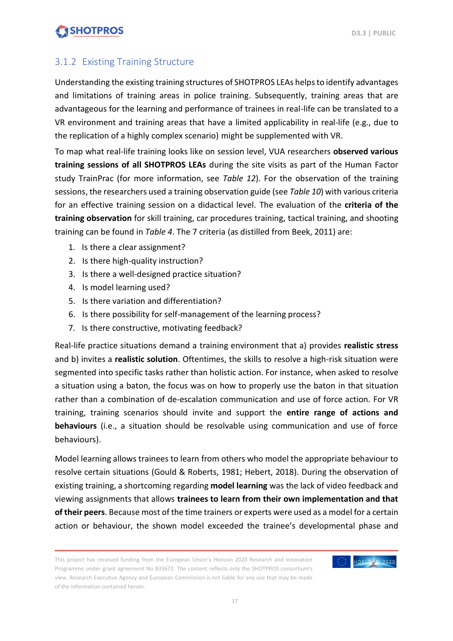### <span id="page-16-0"></span>3.1.2 Existing Training Structure

Understanding the existing training structures of SHOTPROS LEAs helps to identify advantages and limitations of training areas in police training. Subsequently, training areas that are advantageous for the learning and performance of trainees in real-life can be translated to a VR environment and training areas that have a limited applicability in real-life (e.g., due to the replication of a highly complex scenario) might be supplemented with VR.

To map what real-life training looks like on session level, VUA researchers **observed various training sessions of all SHOTPROS LEAs** during the site visits as part of the Human Factor study TrainPrac (for more information, see *Table 12*). For the observation of the training sessions, the researchers used a training observation guide (see *Table 10*) with various criteria for an effective training session on a didactical level. The evaluation of the **criteria of the training observation** for skill training, car procedures training, tactical training, and shooting training can be found in *Table 4*. The 7 criteria (as distilled from Beek, 2011) are:

- 1. Is there a clear assignment?
- 2. Is there high-quality instruction?
- 3. Is there a well-designed practice situation?
- 4. Is model learning used?
- 5. Is there variation and differentiation?
- 6. Is there possibility for self-management of the learning process?
- 7. Is there constructive, motivating feedback?

Real-life practice situations demand a training environment that a) provides **realistic stress** and b) invites a **realistic solution**. Oftentimes, the skills to resolve a high-risk situation were segmented into specific tasks rather than holistic action. For instance, when asked to resolve a situation using a baton, the focus was on how to properly use the baton in that situation rather than a combination of de-escalation communication and use of force action. For VR training, training scenarios should invite and support the **entire range of actions and behaviours** (i.e., a situation should be resolvable using communication and use of force behaviours).

Model learning allows trainees to learn from others who model the appropriate behaviour to resolve certain situations (Gould & Roberts, 1981; Hebert, 2018). During the observation of existing training, a shortcoming regarding **model learning** was the lack of video feedback and viewing assignments that allows **trainees to learn from their own implementation and that of their peers**. Because most of the time trainers or experts were used as a model for a certain action or behaviour, the shown model exceeded the trainee's developmental phase and

This project has received funding from the European Union's Horizon 2020 Research and Innovation Programme under grant agreement No 833672. The content reflects only the SHOTPROS consortium's view. Research Executive Agency and European Commission is not liable for any use that may be made of the information contained herein.

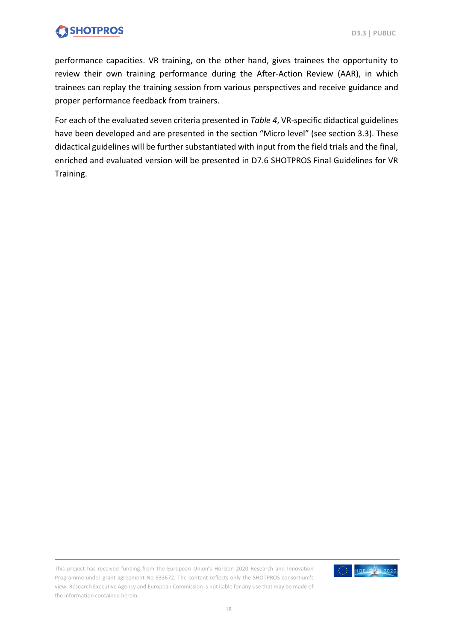performance capacities. VR training, on the other hand, gives trainees the opportunity to review their own training performance during the After-Action Review (AAR), in which trainees can replay the training session from various perspectives and receive guidance and proper performance feedback from trainers.

For each of the evaluated seven criteria presented in *Table 4*, VR-specific didactical guidelines have been developed and are presented in the section "Micro level" (see section 3.3). These didactical guidelines will be further substantiated with input from the field trials and the final, enriched and evaluated version will be presented in D7.6 SHOTPROS Final Guidelines for VR Training.

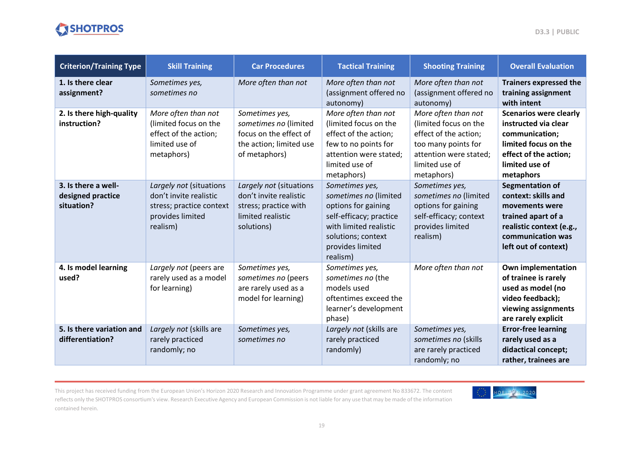



| <b>Criterion/Training Type</b>                         | <b>Skill Training</b>                                                                                         | <b>Car Procedures</b>                                                                                         | <b>Tactical Training</b>                                                                                                                                                  | <b>Shooting Training</b>                                                                                                                               | <b>Overall Evaluation</b>                                                                                                                                      |
|--------------------------------------------------------|---------------------------------------------------------------------------------------------------------------|---------------------------------------------------------------------------------------------------------------|---------------------------------------------------------------------------------------------------------------------------------------------------------------------------|--------------------------------------------------------------------------------------------------------------------------------------------------------|----------------------------------------------------------------------------------------------------------------------------------------------------------------|
| 1. Is there clear<br>assignment?                       | Sometimes yes,<br>sometimes no                                                                                | More often than not                                                                                           | More often than not<br>(assignment offered no<br>autonomy)                                                                                                                | More often than not<br>(assignment offered no<br>autonomy)                                                                                             | <b>Trainers expressed the</b><br>training assignment<br>with intent                                                                                            |
| 2. Is there high-quality<br>instruction?               | More often than not<br>(limited focus on the<br>effect of the action;<br>limited use of<br>metaphors)         | Sometimes yes,<br>sometimes no (limited<br>focus on the effect of<br>the action; limited use<br>of metaphors) | More often than not<br>(limited focus on the<br>effect of the action;<br>few to no points for<br>attention were stated;<br>limited use of<br>metaphors)                   | More often than not<br>(limited focus on the<br>effect of the action;<br>too many points for<br>attention were stated;<br>limited use of<br>metaphors) | <b>Scenarios were clearly</b><br>instructed via clear<br>communication;<br>limited focus on the<br>effect of the action;<br>limited use of<br>metaphors        |
| 3. Is there a well-<br>designed practice<br>situation? | Largely not (situations<br>don't invite realistic<br>stress; practice context<br>provides limited<br>realism) | Largely not (situations<br>don't invite realistic<br>stress; practice with<br>limited realistic<br>solutions) | Sometimes yes,<br>sometimes no (limited<br>options for gaining<br>self-efficacy; practice<br>with limited realistic<br>solutions; context<br>provides limited<br>realism) | Sometimes yes,<br>sometimes no (limited<br>options for gaining<br>self-efficacy; context<br>provides limited<br>realism)                               | <b>Segmentation of</b><br>context: skills and<br>movements were<br>trained apart of a<br>realistic context (e.g.,<br>communication was<br>left out of context) |
| 4. Is model learning<br>used?                          | Largely not (peers are<br>rarely used as a model<br>for learning)                                             | Sometimes yes,<br>sometimes no (peers<br>are rarely used as a<br>model for learning)                          | Sometimes yes,<br>sometimes no (the<br>models used<br>oftentimes exceed the<br>learner's development<br>phase)                                                            | More often than not                                                                                                                                    | <b>Own implementation</b><br>of trainee is rarely<br>used as model (no<br>video feedback);<br>viewing assignments<br>are rarely explicit                       |
| 5. Is there variation and<br>differentiation?          | Largely not (skills are<br>rarely practiced<br>randomly; no                                                   | Sometimes yes,<br>sometimes no                                                                                | Largely not (skills are<br>rarely practiced<br>randomly)                                                                                                                  | Sometimes yes,<br>sometimes no (skills<br>are rarely practiced<br>randomly; no                                                                         | <b>Error-free learning</b><br>rarely used as a<br>didactical concept;<br>rather, trainees are                                                                  |

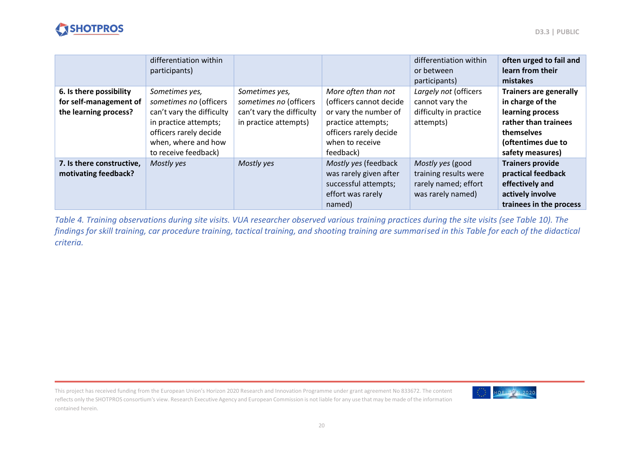

|                                                                            | differentiation within<br>participants)                                                                                                                                 |                                                                                                |                                                                                                                                                         | differentiation within<br>or between<br>participants)                                  | often urged to fail and<br>learn from their<br>mistakes                                                                                               |
|----------------------------------------------------------------------------|-------------------------------------------------------------------------------------------------------------------------------------------------------------------------|------------------------------------------------------------------------------------------------|---------------------------------------------------------------------------------------------------------------------------------------------------------|----------------------------------------------------------------------------------------|-------------------------------------------------------------------------------------------------------------------------------------------------------|
| 6. Is there possibility<br>for self-management of<br>the learning process? | Sometimes yes,<br>sometimes no (officers<br>can't vary the difficulty<br>in practice attempts;<br>officers rarely decide<br>when, where and how<br>to receive feedback) | Sometimes yes,<br>sometimes no (officers<br>can't vary the difficulty<br>in practice attempts) | More often than not<br>(officers cannot decide<br>or vary the number of<br>practice attempts;<br>officers rarely decide<br>when to receive<br>feedback) | Largely not (officers<br>cannot vary the<br>difficulty in practice<br>attempts)        | <b>Trainers are generally</b><br>in charge of the<br>learning process<br>rather than trainees<br>themselves<br>(oftentimes due to<br>safety measures) |
| 7. Is there constructive,<br>motivating feedback?                          | Mostly yes                                                                                                                                                              | Mostly yes                                                                                     | Mostly yes (feedback<br>was rarely given after<br>successful attempts;<br>effort was rarely<br>named)                                                   | Mostly yes (good<br>training results were<br>rarely named; effort<br>was rarely named) | <b>Trainers provide</b><br>practical feedback<br>effectively and<br>actively involve<br>trainees in the process                                       |

<span id="page-19-0"></span>*Table 4. Training observations during site visits. VUA researcher observed various training practices during the site visits (see Table 10). The findings for skill training, car procedure training, tactical training, and shooting training are summarised in this Table for each of the didactical criteria.* 

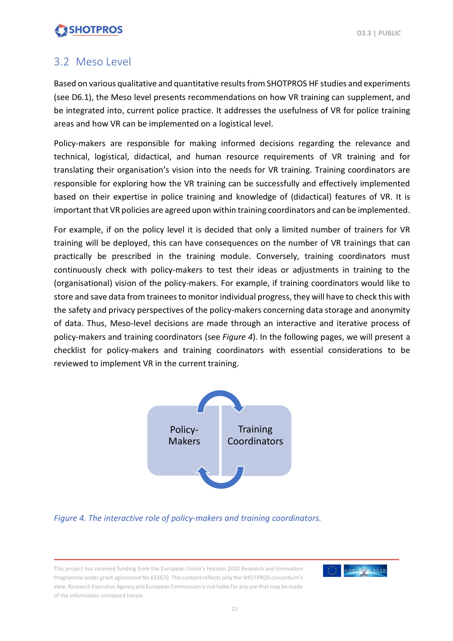### <span id="page-20-0"></span>3.2 Meso Level

Based on various qualitative and quantitative results from SHOTPROS HF studies and experiments (see D6.1), the Meso level presents recommendations on how VR training can supplement, and be integrated into, current police practice. It addresses the usefulness of VR for police training areas and how VR can be implemented on a logistical level.

Policy-makers are responsible for making informed decisions regarding the relevance and technical, logistical, didactical, and human resource requirements of VR training and for translating their organisation's vision into the needs for VR training. Training coordinators are responsible for exploring how the VR training can be successfully and effectively implemented based on their expertise in police training and knowledge of (didactical) features of VR. It is important that VR policies are agreed upon within training coordinators and can be implemented.

For example, if on the policy level it is decided that only a limited number of trainers for VR training will be deployed, this can have consequences on the number of VR trainings that can practically be prescribed in the training module. Conversely, training coordinators must continuously check with policy-makers to test their ideas or adjustments in training to the (organisational) vision of the policy-makers. For example, if training coordinators would like to store and save data from trainees to monitor individual progress, they will have to check this with the safety and privacy perspectives of the policy-makers concerning data storage and anonymity of data. Thus, Meso-level decisions are made through an interactive and iterative process of policy-makers and training coordinators (see *Figure 4*). In the following pages, we will present a checklist for policy-makers and training coordinators with essential considerations to be reviewed to implement VR in the current training.



<span id="page-20-1"></span>*Figure 4. The interactive role of policy-makers and training coordinators.*

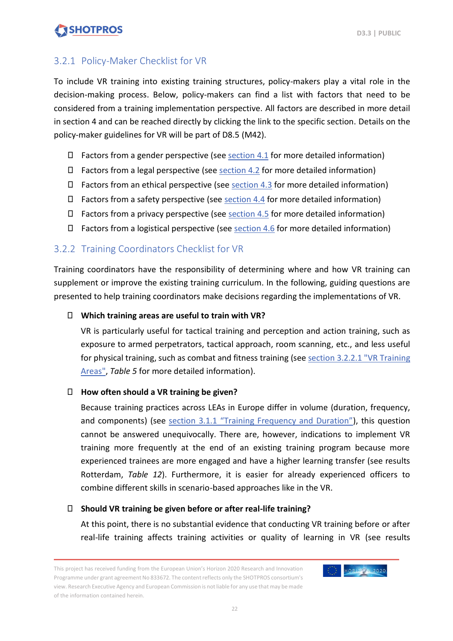### <span id="page-21-0"></span>3.2.1 Policy-Maker Checklist for VR

To include VR training into existing training structures, policy-makers play a vital role in the decision-making process. Below, policy-makers can find a list with factors that need to be considered from a training implementation perspective. All factors are described in more detail in section 4 and can be reached directly by clicking the link to the specific section. Details on the policy-maker guidelines for VR will be part of D8.5 (M42).

- $\epsilon$  Factors from a gender perspective (se[e section 4.1](#page-47-1) for more detailed information)
- $\epsilon$  Factors from a legal perspective (see [section 4.2](#page-48-0) for more detailed information)
- $\epsilon$  Factors from an ethical perspective (see [section 4.3](#page-48-1) for more detailed information)
- $\epsilon$  Factors from a safety perspective (see [section 4.4](#page-48-2) for more detailed information)
- $\epsilon$  Factors from a privacy perspective (see [section 4.5](#page-50-0) for more detailed information)
- $\epsilon$  Factors from a logistical perspective (see [section](#page-50-1) 4.6 for more detailed information)

### <span id="page-21-1"></span>3.2.2 Training Coordinators Checklist for VR

Training coordinators have the responsibility of determining where and how VR training can supplement or improve the existing training curriculum. In the following, guiding questions are presented to help training coordinators make decisions regarding the implementations of VR.

#### € **Which training areas are useful to train with VR?**

VR is particularly useful for tactical training and perception and action training, such as exposure to armed perpetrators, tactical approach, room scanning, etc., and less useful for physical training, such as combat and fitness training (see [section 3.2.2.1 "VR Training](#page-23-0)  [Areas",](#page-23-0) *Table 5* for more detailed information).

#### € **How often should a VR training be given?**

Because training practices across LEAs in Europe differ in volume (duration, frequency, and components) (see section 3.1.1 ["Training Frequency and Duration"](#page-14-1)), this question cannot be answered unequivocally. There are, however, indications to implement VR training more frequently at the end of an existing training program because more experienced trainees are more engaged and have a higher learning transfer (see results Rotterdam, *Table 12*). Furthermore, it is easier for already experienced officers to combine different skills in scenario-based approaches like in the VR.

#### € **Should VR training be given before or after real-life training?**

At this point, there is no substantial evidence that conducting VR training before or after real-life training affects training activities or quality of learning in VR (see results

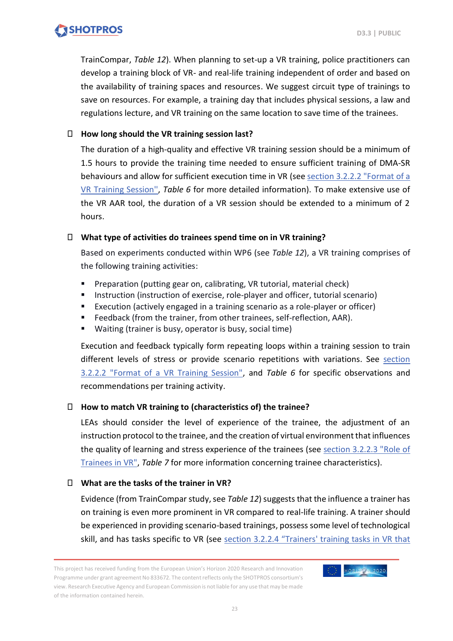TrainCompar, *Table 12*). When planning to set-up a VR training, police practitioners can develop a training block of VR- and real-life training independent of order and based on the availability of training spaces and resources. We suggest circuit type of trainings to save on resources. For example, a training day that includes physical sessions, a law and regulations lecture, and VR training on the same location to save time of the trainees.

#### € **How long should the VR training session last?**

The duration of a high-quality and effective VR training session should be a minimum of 1.5 hours to provide the training time needed to ensure sufficient training of DMA-SR behaviours and allow for sufficient execution time in VR (se[e section 3.2.2.2](#page-25-1) "Format of a [VR Training Session'',](#page-25-1) *Table 6* for more detailed information). To make extensive use of the VR AAR tool, the duration of a VR session should be extended to a minimum of 2 hours.

#### € **What type of activities do trainees spend time on in VR training?**

Based on experiments conducted within WP6 (see *Table 12*), a VR training comprises of the following training activities:

- Preparation (putting gear on, calibrating, VR tutorial, material check)
- Instruction (instruction of exercise, role-player and officer, tutorial scenario)
- Execution (actively engaged in a training scenario as a role-player or officer)
- Feedback (from the trainer, from other trainees, self-reflection, AAR).
- Waiting (trainer is busy, operator is busy, social time)

Execution and feedback typically form repeating loops within a training session to train different levels of stress or provide scenario repetitions with variations. See [section](#page-25-1)  [3.2.2.2 "Format of a VR Training Session",](#page-25-1) and *Table 6* for specific observations and recommendations per training activity.

#### € **How to match VR training to (characteristics of) the trainee?**

LEAs should consider the level of experience of the trainee, the adjustment of an instruction protocol to the trainee, and the creation of virtual environment that influences the quality of learning and stress experience of the trainees (see [section 3.2.2.3](#page-28-1) "Role of [Trainees in VR",](#page-28-1) *Table 7* for more information concerning trainee characteristics).

#### € **What are the tasks of the trainer in VR?**

Evidence (from TrainCompar study, see *Table 12*) suggests that the influence a trainer has on training is even more prominent in VR compared to real-life training. A trainer should be experienced in providing scenario-based trainings, possess some level of technological skill, and has tasks specific to VR (see section 3.2.2.4 "Trainers' training tasks in VR that

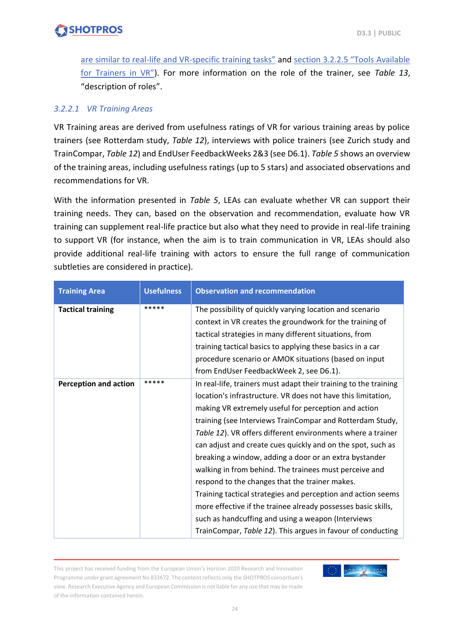[are similar to real-life and VR-specific](#page-30-1) training tasks" and [section 3.2.2.5 "Tools Available](#page-31-1)  [for Trainers](#page-31-1) in VR"). For more information on the role of the trainer, see *Table 13*, "description of roles".

#### <span id="page-23-0"></span>*3.2.2.1 VR Training Areas*

VR Training areas are derived from usefulness ratings of VR for various training areas by police trainers (see Rotterdam study, *Table 12*), interviews with police trainers (see Zurich study and TrainCompar, *Table 12*) and EndUser FeedbackWeeks 2&3 (see D6.1). *Table 5* shows an overview of the training areas, including usefulness ratings (up to 5 stars) and associated observations and recommendations for VR.

With the information presented in *Table 5*, LEAs can evaluate whether VR can support their training needs. They can, based on the observation and recommendation, evaluate how VR training can supplement real-life practice but also what they need to provide in real-life training to support VR (for instance, when the aim is to train communication in VR, LEAs should also provide additional real-life training with actors to ensure the full range of communication subtleties are considered in practice).

| <b>Training Area</b>         | <b>Usefulness</b> | <b>Observation and recommendation</b>                            |
|------------------------------|-------------------|------------------------------------------------------------------|
| <b>Tactical training</b>     | *****             | The possibility of quickly varying location and scenario         |
|                              |                   | context in VR creates the groundwork for the training of         |
|                              |                   | tactical strategies in many different situations, from           |
|                              |                   | training tactical basics to applying these basics in a car       |
|                              |                   | procedure scenario or AMOK situations (based on input            |
|                              |                   | from EndUser FeedbackWeek 2, see D6.1).                          |
| <b>Perception and action</b> | *****             | In real-life, trainers must adapt their training to the training |
|                              |                   | location's infrastructure. VR does not have this limitation,     |
|                              |                   | making VR extremely useful for perception and action             |
|                              |                   | training (see Interviews TrainCompar and Rotterdam Study,        |
|                              |                   | Table 12). VR offers different environments where a trainer      |
|                              |                   | can adjust and create cues quickly and on the spot, such as      |
|                              |                   | breaking a window, adding a door or an extra bystander           |
|                              |                   | walking in from behind. The trainees must perceive and           |
|                              |                   | respond to the changes that the trainer makes.                   |
|                              |                   | Training tactical strategies and perception and action seems     |
|                              |                   | more effective if the trainee already possesses basic skills,    |
|                              |                   | such as handcuffing and using a weapon (Interviews               |
|                              |                   | TrainCompar, Table 12). This argues in favour of conducting      |

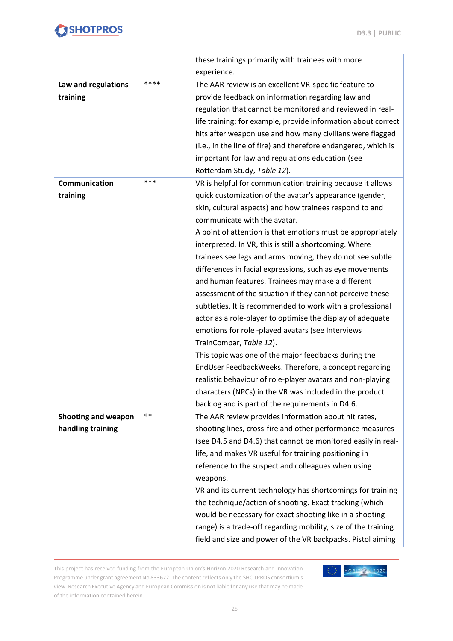

|                     |       | these trainings primarily with trainees with more              |
|---------------------|-------|----------------------------------------------------------------|
|                     |       | experience.                                                    |
| Law and regulations | ****  | The AAR review is an excellent VR-specific feature to          |
| training            |       | provide feedback on information regarding law and              |
|                     |       | regulation that cannot be monitored and reviewed in real-      |
|                     |       | life training; for example, provide information about correct  |
|                     |       | hits after weapon use and how many civilians were flagged      |
|                     |       | (i.e., in the line of fire) and therefore endangered, which is |
|                     |       | important for law and regulations education (see               |
|                     |       | Rotterdam Study, Table 12).                                    |
| Communication       | ***   | VR is helpful for communication training because it allows     |
| training            |       | quick customization of the avatar's appearance (gender,        |
|                     |       | skin, cultural aspects) and how trainees respond to and        |
|                     |       | communicate with the avatar.                                   |
|                     |       | A point of attention is that emotions must be appropriately    |
|                     |       | interpreted. In VR, this is still a shortcoming. Where         |
|                     |       | trainees see legs and arms moving, they do not see subtle      |
|                     |       | differences in facial expressions, such as eye movements       |
|                     |       | and human features. Trainees may make a different              |
|                     |       | assessment of the situation if they cannot perceive these      |
|                     |       | subtleties. It is recommended to work with a professional      |
|                     |       | actor as a role-player to optimise the display of adequate     |
|                     |       | emotions for role -played avatars (see Interviews              |
|                     |       | TrainCompar, Table 12).                                        |
|                     |       | This topic was one of the major feedbacks during the           |
|                     |       | EndUser FeedbackWeeks. Therefore, a concept regarding          |
|                     |       | realistic behaviour of role-player avatars and non-playing     |
|                     |       | characters (NPCs) in the VR was included in the product        |
|                     |       | backlog and is part of the requirements in D4.6.               |
| Shooting and weapon | $***$ | The AAR review provides information about hit rates,           |
| handling training   |       | shooting lines, cross-fire and other performance measures      |
|                     |       | (see D4.5 and D4.6) that cannot be monitored easily in real-   |
|                     |       | life, and makes VR useful for training positioning in          |
|                     |       | reference to the suspect and colleagues when using             |
|                     |       | weapons.                                                       |
|                     |       | VR and its current technology has shortcomings for training    |
|                     |       | the technique/action of shooting. Exact tracking (which        |
|                     |       | would be necessary for exact shooting like in a shooting       |
|                     |       | range) is a trade-off regarding mobility, size of the training |
|                     |       | field and size and power of the VR backpacks. Pistol aiming    |

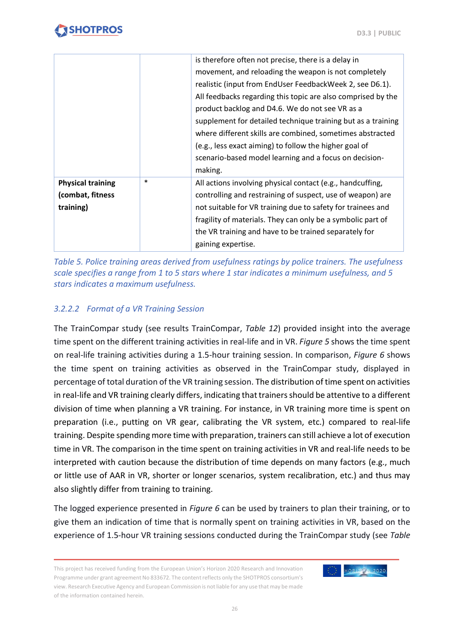**D3.3 | PUBLIC**

|                                                           |        | is therefore often not precise, there is a delay in<br>movement, and reloading the weapon is not completely<br>realistic (input from EndUser FeedbackWeek 2, see D6.1).<br>All feedbacks regarding this topic are also comprised by the<br>product backlog and D4.6. We do not see VR as a<br>supplement for detailed technique training but as a training<br>where different skills are combined, sometimes abstracted<br>(e.g., less exact aiming) to follow the higher goal of |
|-----------------------------------------------------------|--------|-----------------------------------------------------------------------------------------------------------------------------------------------------------------------------------------------------------------------------------------------------------------------------------------------------------------------------------------------------------------------------------------------------------------------------------------------------------------------------------|
|                                                           |        | scenario-based model learning and a focus on decision-<br>making.                                                                                                                                                                                                                                                                                                                                                                                                                 |
| <b>Physical training</b><br>(combat, fitness<br>training) | $\ast$ | All actions involving physical contact (e.g., handcuffing,<br>controlling and restraining of suspect, use of weapon) are<br>not suitable for VR training due to safety for trainees and<br>fragility of materials. They can only be a symbolic part of<br>the VR training and have to be trained separately for<br>gaining expertise.                                                                                                                                             |

<span id="page-25-0"></span>*Table 5. Police training areas derived from usefulness ratings by police trainers. The usefulness scale specifies a range from 1 to 5 stars where 1 star indicates a minimum usefulness, and 5 stars indicates a maximum usefulness.*

#### <span id="page-25-1"></span>*3.2.2.2 Format of a VR Training Session*

The TrainCompar study (see results TrainCompar, *Table 12*) provided insight into the average time spent on the different training activities in real-life and in VR. *Figure 5* shows the time spent on real-life training activities during a 1.5-hour training session. In comparison, *Figure 6* shows the time spent on training activities as observed in the TrainCompar study, displayed in percentage of total duration of the VR training session. The distribution of time spent on activities in real-life and VR training clearly differs, indicating that trainers should be attentive to a different division of time when planning a VR training. For instance, in VR training more time is spent on preparation (i.e., putting on VR gear, calibrating the VR system, etc.) compared to real-life training. Despite spending more time with preparation, trainers can still achieve a lot of execution time in VR. The comparison in the time spent on training activities in VR and real-life needs to be interpreted with caution because the distribution of time depends on many factors (e.g., much or little use of AAR in VR, shorter or longer scenarios, system recalibration, etc.) and thus may also slightly differ from training to training.

The logged experience presented in *Figure 6* can be used by trainers to plan their training, or to give them an indication of time that is normally spent on training activities in VR, based on the experience of 1.5-hour VR training sessions conducted during the TrainCompar study (see *Table* 

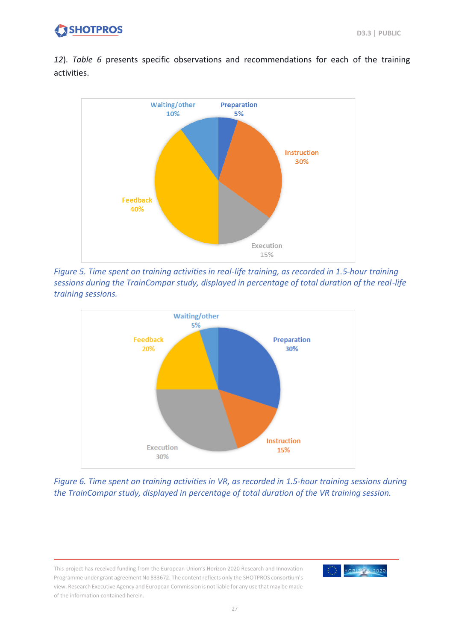*12*). *Table 6* presents specific observations and recommendations for each of the training activities.



<span id="page-26-0"></span>*Figure 5. Time spent on training activities in real-life training, as recorded in 1.5-hour training sessions during the TrainCompar study, displayed in percentage of total duration of the real-life training sessions.*



<span id="page-26-1"></span>*Figure 6. Time spent on training activities in VR, as recorded in 1.5-hour training sessions during the TrainCompar study, displayed in percentage of total duration of the VR training session.*

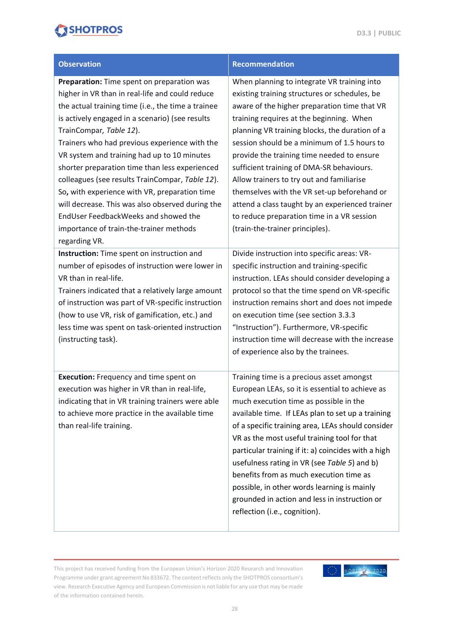| <b>Observation</b>                                                                                                                                                                                                                                                                                                                                                                                                                                                                                                                                                                                                                              | <b>Recommendation</b>                                                                                                                                                                                                                                                                                                                                                                                                                                                                                                                                                                                                |
|-------------------------------------------------------------------------------------------------------------------------------------------------------------------------------------------------------------------------------------------------------------------------------------------------------------------------------------------------------------------------------------------------------------------------------------------------------------------------------------------------------------------------------------------------------------------------------------------------------------------------------------------------|----------------------------------------------------------------------------------------------------------------------------------------------------------------------------------------------------------------------------------------------------------------------------------------------------------------------------------------------------------------------------------------------------------------------------------------------------------------------------------------------------------------------------------------------------------------------------------------------------------------------|
| Preparation: Time spent on preparation was<br>higher in VR than in real-life and could reduce<br>the actual training time (i.e., the time a trainee<br>is actively engaged in a scenario) (see results<br>TrainCompar, Table 12).<br>Trainers who had previous experience with the<br>VR system and training had up to 10 minutes<br>shorter preparation time than less experienced<br>colleagues (see results TrainCompar, Table 12).<br>So, with experience with VR, preparation time<br>will decrease. This was also observed during the<br>EndUser FeedbackWeeks and showed the<br>importance of train-the-trainer methods<br>regarding VR. | When planning to integrate VR training into<br>existing training structures or schedules, be<br>aware of the higher preparation time that VR<br>training requires at the beginning. When<br>planning VR training blocks, the duration of a<br>session should be a minimum of 1.5 hours to<br>provide the training time needed to ensure<br>sufficient training of DMA-SR behaviours.<br>Allow trainers to try out and familiarise<br>themselves with the VR set-up beforehand or<br>attend a class taught by an experienced trainer<br>to reduce preparation time in a VR session<br>(train-the-trainer principles). |
| Instruction: Time spent on instruction and<br>number of episodes of instruction were lower in<br>VR than in real-life.<br>Trainers indicated that a relatively large amount<br>of instruction was part of VR-specific instruction<br>(how to use VR, risk of gamification, etc.) and<br>less time was spent on task-oriented instruction<br>(instructing task).                                                                                                                                                                                                                                                                                 | Divide instruction into specific areas: VR-<br>specific instruction and training-specific<br>instruction. LEAs should consider developing a<br>protocol so that the time spend on VR-specific<br>instruction remains short and does not impede<br>on execution time (see section 3.3.3<br>"Instruction"). Furthermore, VR-specific<br>instruction time will decrease with the increase<br>of experience also by the trainees.                                                                                                                                                                                        |
| <b>Execution:</b> Frequency and time spent on<br>execution was higher in VR than in real-life,<br>indicating that in VR training trainers were able<br>to achieve more practice in the available time<br>than real-life training.                                                                                                                                                                                                                                                                                                                                                                                                               | Training time is a precious asset amongst<br>European LEAs, so it is essential to achieve as<br>much execution time as possible in the<br>available time. If LEAs plan to set up a training<br>of a specific training area, LEAs should consider<br>VR as the most useful training tool for that<br>particular training if it: a) coincides with a high<br>usefulness rating in VR (see Table 5) and b)<br>benefits from as much execution time as<br>possible, in other words learning is mainly<br>grounded in action and less in instruction or<br>reflection (i.e., cognition).                                  |

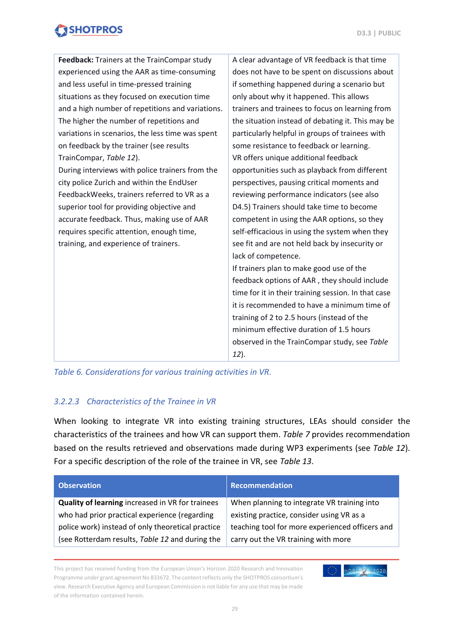| experienced using the AAR as time-consuming<br>does not have to be spent on discussions about<br>and less useful in time-pressed training<br>if something happened during a scenario but<br>situations as they focused on execution time<br>only about why it happened. This allows<br>and a high number of repetitions and variations.<br>trainers and trainees to focus on learning from<br>The higher the number of repetitions and<br>the situation instead of debating it. This may be<br>variations in scenarios, the less time was spent<br>particularly helpful in groups of trainees with | Feedback: Trainers at the TrainCompar study | A clear advantage of VR feedback is that time |
|----------------------------------------------------------------------------------------------------------------------------------------------------------------------------------------------------------------------------------------------------------------------------------------------------------------------------------------------------------------------------------------------------------------------------------------------------------------------------------------------------------------------------------------------------------------------------------------------------|---------------------------------------------|-----------------------------------------------|
|                                                                                                                                                                                                                                                                                                                                                                                                                                                                                                                                                                                                    |                                             |                                               |
|                                                                                                                                                                                                                                                                                                                                                                                                                                                                                                                                                                                                    |                                             |                                               |
|                                                                                                                                                                                                                                                                                                                                                                                                                                                                                                                                                                                                    |                                             |                                               |
|                                                                                                                                                                                                                                                                                                                                                                                                                                                                                                                                                                                                    |                                             |                                               |
|                                                                                                                                                                                                                                                                                                                                                                                                                                                                                                                                                                                                    |                                             |                                               |
|                                                                                                                                                                                                                                                                                                                                                                                                                                                                                                                                                                                                    |                                             |                                               |
|                                                                                                                                                                                                                                                                                                                                                                                                                                                                                                                                                                                                    | on feedback by the trainer (see results     | some resistance to feedback or learning.      |
| TrainCompar, Table 12).<br>VR offers unique additional feedback                                                                                                                                                                                                                                                                                                                                                                                                                                                                                                                                    |                                             |                                               |
| During interviews with police trainers from the<br>opportunities such as playback from different                                                                                                                                                                                                                                                                                                                                                                                                                                                                                                   |                                             |                                               |
| city police Zurich and within the EndUser<br>perspectives, pausing critical moments and                                                                                                                                                                                                                                                                                                                                                                                                                                                                                                            |                                             |                                               |
| FeedbackWeeks, trainers referred to VR as a<br>reviewing performance indicators (see also                                                                                                                                                                                                                                                                                                                                                                                                                                                                                                          |                                             |                                               |
| superior tool for providing objective and<br>D4.5) Trainers should take time to become                                                                                                                                                                                                                                                                                                                                                                                                                                                                                                             |                                             |                                               |
| accurate feedback. Thus, making use of AAR<br>competent in using the AAR options, so they                                                                                                                                                                                                                                                                                                                                                                                                                                                                                                          |                                             |                                               |
| requires specific attention, enough time,<br>self-efficacious in using the system when they                                                                                                                                                                                                                                                                                                                                                                                                                                                                                                        |                                             |                                               |
| see fit and are not held back by insecurity or<br>training, and experience of trainers.                                                                                                                                                                                                                                                                                                                                                                                                                                                                                                            |                                             |                                               |
| lack of competence.                                                                                                                                                                                                                                                                                                                                                                                                                                                                                                                                                                                |                                             |                                               |
| If trainers plan to make good use of the                                                                                                                                                                                                                                                                                                                                                                                                                                                                                                                                                           |                                             |                                               |
| feedback options of AAR, they should include                                                                                                                                                                                                                                                                                                                                                                                                                                                                                                                                                       |                                             |                                               |
| time for it in their training session. In that case                                                                                                                                                                                                                                                                                                                                                                                                                                                                                                                                                |                                             |                                               |
| it is recommended to have a minimum time of                                                                                                                                                                                                                                                                                                                                                                                                                                                                                                                                                        |                                             |                                               |
| training of 2 to 2.5 hours (instead of the                                                                                                                                                                                                                                                                                                                                                                                                                                                                                                                                                         |                                             |                                               |
| minimum effective duration of 1.5 hours                                                                                                                                                                                                                                                                                                                                                                                                                                                                                                                                                            |                                             |                                               |
| observed in the TrainCompar study, see Table                                                                                                                                                                                                                                                                                                                                                                                                                                                                                                                                                       |                                             |                                               |
| 12).                                                                                                                                                                                                                                                                                                                                                                                                                                                                                                                                                                                               |                                             |                                               |

<span id="page-28-0"></span>*Table 6. Considerations for various training activities in VR.*

#### <span id="page-28-1"></span>*3.2.2.3 Characteristics of the Trainee in VR*

When looking to integrate VR into existing training structures, LEAs should consider the characteristics of the trainees and how VR can support them. *Table 7* provides recommendation based on the results retrieved and observations made during WP3 experiments (see *Table 12*). For a specific description of the role of the trainee in VR, see *Table 13*.

| <b>Observation</b>                                | Recommendation                                  |
|---------------------------------------------------|-------------------------------------------------|
| Quality of learning increased in VR for trainees  | When planning to integrate VR training into     |
| who had prior practical experience (regarding     | existing practice, consider using VR as a       |
| police work) instead of only theoretical practice | teaching tool for more experienced officers and |
| (see Rotterdam results, Table 12 and during the   | carry out the VR training with more             |

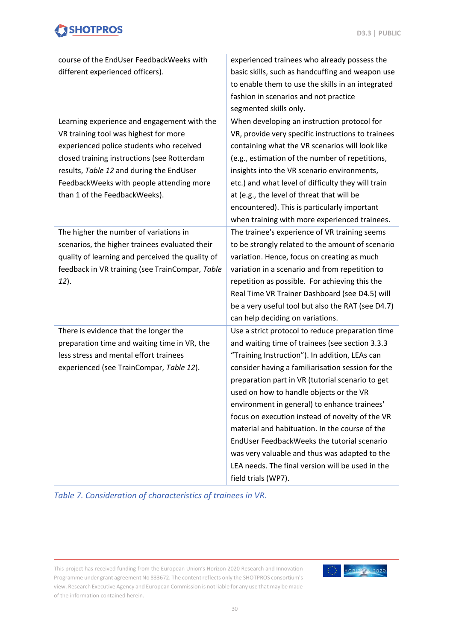#### **D3.3 | PUBLIC**

## **SHOTPROS**

| course of the EndUser FeedbackWeeks with         | experienced trainees who already possess the       |
|--------------------------------------------------|----------------------------------------------------|
| different experienced officers).                 | basic skills, such as handcuffing and weapon use   |
|                                                  | to enable them to use the skills in an integrated  |
|                                                  | fashion in scenarios and not practice              |
|                                                  | segmented skills only.                             |
| Learning experience and engagement with the      | When developing an instruction protocol for        |
| VR training tool was highest for more            | VR, provide very specific instructions to trainees |
| experienced police students who received         | containing what the VR scenarios will look like    |
| closed training instructions (see Rotterdam      | (e.g., estimation of the number of repetitions,    |
| results, Table 12 and during the EndUser         | insights into the VR scenario environments,        |
| FeedbackWeeks with people attending more         | etc.) and what level of difficulty they will train |
| than 1 of the FeedbackWeeks).                    | at (e.g., the level of threat that will be         |
|                                                  | encountered). This is particularly important       |
|                                                  | when training with more experienced trainees.      |
| The higher the number of variations in           | The trainee's experience of VR training seems      |
| scenarios, the higher trainees evaluated their   | to be strongly related to the amount of scenario   |
| quality of learning and perceived the quality of | variation. Hence, focus on creating as much        |
| feedback in VR training (see TrainCompar, Table  | variation in a scenario and from repetition to     |
| 12).                                             | repetition as possible. For achieving this the     |
|                                                  | Real Time VR Trainer Dashboard (see D4.5) will     |
|                                                  | be a very useful tool but also the RAT (see D4.7)  |
|                                                  | can help deciding on variations.                   |
| There is evidence that the longer the            | Use a strict protocol to reduce preparation time   |
| preparation time and waiting time in VR, the     | and waiting time of trainees (see section 3.3.3    |
| less stress and mental effort trainees           | "Training Instruction"). In addition, LEAs can     |
| experienced (see TrainCompar, Table 12).         | consider having a familiarisation session for the  |
|                                                  | preparation part in VR (tutorial scenario to get   |
|                                                  | used on how to handle objects or the VR            |
|                                                  | environment in general) to enhance trainees'       |
|                                                  | focus on execution instead of novelty of the VR    |
|                                                  | material and habituation. In the course of the     |
|                                                  | EndUser FeedbackWeeks the tutorial scenario        |
|                                                  | was very valuable and thus was adapted to the      |
|                                                  | LEA needs. The final version will be used in the   |
|                                                  | field trials (WP7).                                |

<span id="page-29-0"></span>*Table 7. Consideration of characteristics of trainees in VR.*

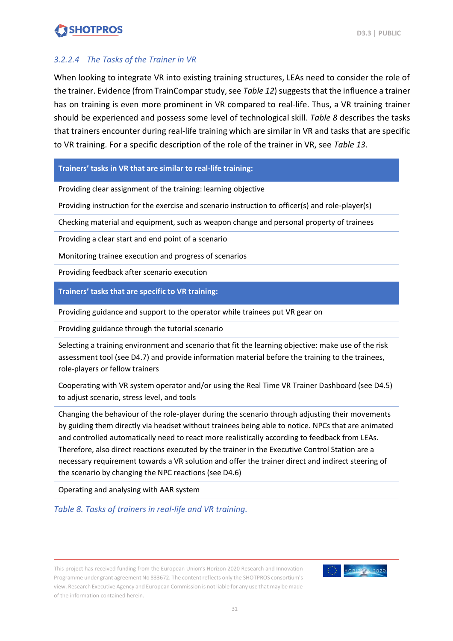#### <span id="page-30-1"></span>*3.2.2.4 The Tasks of the Trainer in VR*

When looking to integrate VR into existing training structures, LEAs need to consider the role of the trainer. Evidence (from TrainCompar study, see *Table 12*) suggests that the influence a trainer has on training is even more prominent in VR compared to real-life. Thus, a VR training trainer should be experienced and possess some level of technological skill. *Table 8* describes the tasks that trainers encounter during real-life training which are similar in VR and tasks that are specific to VR training. For a specific description of the role of the trainer in VR, see *Table 13*.

#### **Trainers' tasks in VR that are similar to real-life training:**

Providing clear assignment of the training: learning objective

Providing instruction for the exercise and scenario instruction to officer(s) and role-playe**r**(s)

Checking material and equipment, such as weapon change and personal property of trainees

Providing a clear start and end point of a scenario

Monitoring trainee execution and progress of scenarios

Providing feedback after scenario execution

**Trainers' tasks that are specific to VR training:**

Providing guidance and support to the operator while trainees put VR gear on

Providing guidance through the tutorial scenario

Selecting a training environment and scenario that fit the learning objective: make use of the risk assessment tool (see D4.7) and provide information material before the training to the trainees, role-players or fellow trainers

Cooperating with VR system operator and/or using the Real Time VR Trainer Dashboard (see D4.5) to adjust scenario, stress level, and tools

Changing the behaviour of the role-player during the scenario through adjusting their movements by guiding them directly via headset without trainees being able to notice. NPCs that are animated and controlled automatically need to react more realistically according to feedback from LEAs. Therefore, also direct reactions executed by the trainer in the Executive Control Station are a necessary requirement towards a VR solution and offer the trainer direct and indirect steering of the scenario by changing the NPC reactions (see D4.6)

Operating and analysing with AAR system

<span id="page-30-0"></span>*Table 8. Tasks of trainers in real-life and VR training.*

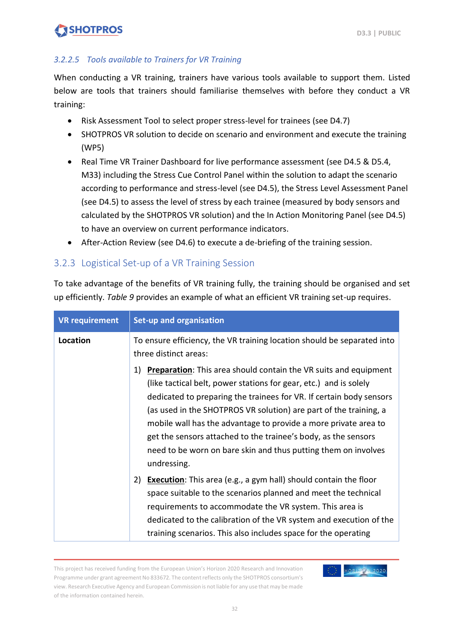#### <span id="page-31-1"></span>*3.2.2.5 Tools available to Trainers for VR Training*

When conducting a VR training, trainers have various tools available to support them. Listed below are tools that trainers should familiarise themselves with before they conduct a VR training:

- Risk Assessment Tool to select proper stress-level for trainees (see D4.7)
- SHOTPROS VR solution to decide on scenario and environment and execute the training (WP5)
- Real Time VR Trainer Dashboard for live performance assessment (see D4.5 & D5.4, M33) including the Stress Cue Control Panel within the solution to adapt the scenario according to performance and stress-level (see D4.5), the Stress Level Assessment Panel (see D4.5) to assess the level of stress by each trainee (measured by body sensors and calculated by the SHOTPROS VR solution) and the In Action Monitoring Panel (see D4.5) to have an overview on current performance indicators.
- After-Action Review (see D4.6) to execute a de-briefing of the training session.

### <span id="page-31-0"></span>3.2.3 Logistical Set-up of a VR Training Session

To take advantage of the benefits of VR training fully, the training should be organised and set up efficiently. *Table 9* provides an example of what an efficient VR training set-up requires.

| <b>VR requirement</b> | <b>Set-up and organisation</b>                                                                                                                                                                                                                                                                                                                                                                                                                                                                                       |  |
|-----------------------|----------------------------------------------------------------------------------------------------------------------------------------------------------------------------------------------------------------------------------------------------------------------------------------------------------------------------------------------------------------------------------------------------------------------------------------------------------------------------------------------------------------------|--|
| Location              | To ensure efficiency, the VR training location should be separated into<br>three distinct areas:                                                                                                                                                                                                                                                                                                                                                                                                                     |  |
|                       | <b>Preparation:</b> This area should contain the VR suits and equipment<br>1)<br>(like tactical belt, power stations for gear, etc.) and is solely<br>dedicated to preparing the trainees for VR. If certain body sensors<br>(as used in the SHOTPROS VR solution) are part of the training, a<br>mobile wall has the advantage to provide a more private area to<br>get the sensors attached to the trainee's body, as the sensors<br>need to be worn on bare skin and thus putting them on involves<br>undressing. |  |
|                       | 2)<br><b>Execution:</b> This area (e.g., a gym hall) should contain the floor<br>space suitable to the scenarios planned and meet the technical<br>requirements to accommodate the VR system. This area is<br>dedicated to the calibration of the VR system and execution of the<br>training scenarios. This also includes space for the operating                                                                                                                                                                   |  |

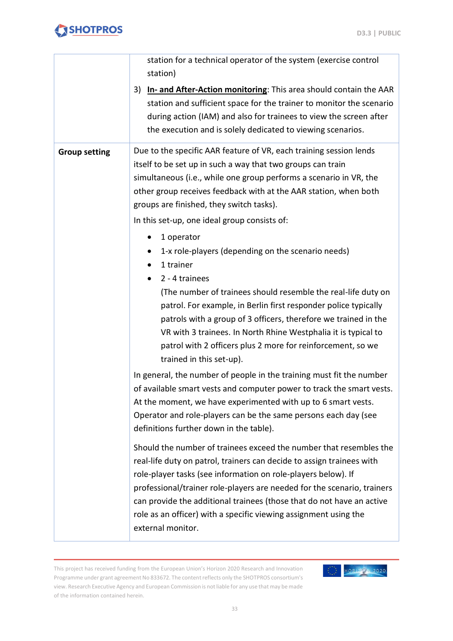|                      | station for a technical operator of the system (exercise control<br>station)                                                                                                                                                                                                                                                                                                                                                                                                                                                                                                                                                                                                                                                                                                                                                                   |
|----------------------|------------------------------------------------------------------------------------------------------------------------------------------------------------------------------------------------------------------------------------------------------------------------------------------------------------------------------------------------------------------------------------------------------------------------------------------------------------------------------------------------------------------------------------------------------------------------------------------------------------------------------------------------------------------------------------------------------------------------------------------------------------------------------------------------------------------------------------------------|
|                      | In- and After-Action monitoring: This area should contain the AAR<br>3)<br>station and sufficient space for the trainer to monitor the scenario<br>during action (IAM) and also for trainees to view the screen after<br>the execution and is solely dedicated to viewing scenarios.                                                                                                                                                                                                                                                                                                                                                                                                                                                                                                                                                           |
| <b>Group setting</b> | Due to the specific AAR feature of VR, each training session lends<br>itself to be set up in such a way that two groups can train<br>simultaneous (i.e., while one group performs a scenario in VR, the<br>other group receives feedback with at the AAR station, when both<br>groups are finished, they switch tasks).<br>In this set-up, one ideal group consists of:<br>1 operator<br>1-x role-players (depending on the scenario needs)<br>1 trainer<br>2 - 4 trainees<br>(The number of trainees should resemble the real-life duty on<br>patrol. For example, in Berlin first responder police typically<br>patrols with a group of 3 officers, therefore we trained in the<br>VR with 3 trainees. In North Rhine Westphalia it is typical to<br>patrol with 2 officers plus 2 more for reinforcement, so we<br>trained in this set-up). |
|                      | In general, the number of people in the training must fit the number<br>of available smart vests and computer power to track the smart vests.<br>At the moment, we have experimented with up to 6 smart vests.<br>Operator and role-players can be the same persons each day (see<br>definitions further down in the table).<br>Should the number of trainees exceed the number that resembles the<br>real-life duty on patrol, trainers can decide to assign trainees with<br>role-player tasks (see information on role-players below). If<br>professional/trainer role-players are needed for the scenario, trainers<br>can provide the additional trainees (those that do not have an active<br>role as an officer) with a specific viewing assignment using the<br>external monitor.                                                      |

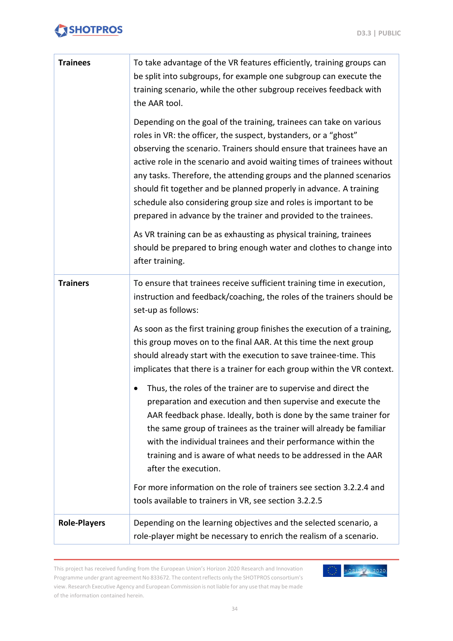| <b>Trainees</b>     | To take advantage of the VR features efficiently, training groups can<br>be split into subgroups, for example one subgroup can execute the<br>training scenario, while the other subgroup receives feedback with<br>the AAR tool.                                                                                                                                                                                                                                                                                                                                                                                                                                                                                                                |
|---------------------|--------------------------------------------------------------------------------------------------------------------------------------------------------------------------------------------------------------------------------------------------------------------------------------------------------------------------------------------------------------------------------------------------------------------------------------------------------------------------------------------------------------------------------------------------------------------------------------------------------------------------------------------------------------------------------------------------------------------------------------------------|
|                     | Depending on the goal of the training, trainees can take on various<br>roles in VR: the officer, the suspect, bystanders, or a "ghost"<br>observing the scenario. Trainers should ensure that trainees have an<br>active role in the scenario and avoid waiting times of trainees without<br>any tasks. Therefore, the attending groups and the planned scenarios<br>should fit together and be planned properly in advance. A training<br>schedule also considering group size and roles is important to be<br>prepared in advance by the trainer and provided to the trainees.<br>As VR training can be as exhausting as physical training, trainees<br>should be prepared to bring enough water and clothes to change into<br>after training. |
| <b>Trainers</b>     | To ensure that trainees receive sufficient training time in execution,<br>instruction and feedback/coaching, the roles of the trainers should be<br>set-up as follows:                                                                                                                                                                                                                                                                                                                                                                                                                                                                                                                                                                           |
|                     | As soon as the first training group finishes the execution of a training,<br>this group moves on to the final AAR. At this time the next group<br>should already start with the execution to save trainee-time. This<br>implicates that there is a trainer for each group within the VR context.                                                                                                                                                                                                                                                                                                                                                                                                                                                 |
|                     | Thus, the roles of the trainer are to supervise and direct the<br>preparation and execution and then supervise and execute the<br>AAR feedback phase. Ideally, both is done by the same trainer for<br>the same group of trainees as the trainer will already be familiar<br>with the individual trainees and their performance within the<br>training and is aware of what needs to be addressed in the AAR<br>after the execution.                                                                                                                                                                                                                                                                                                             |
|                     | For more information on the role of trainers see section 3.2.2.4 and<br>tools available to trainers in VR, see section 3.2.2.5                                                                                                                                                                                                                                                                                                                                                                                                                                                                                                                                                                                                                   |
| <b>Role-Players</b> | Depending on the learning objectives and the selected scenario, a<br>role-player might be necessary to enrich the realism of a scenario.                                                                                                                                                                                                                                                                                                                                                                                                                                                                                                                                                                                                         |

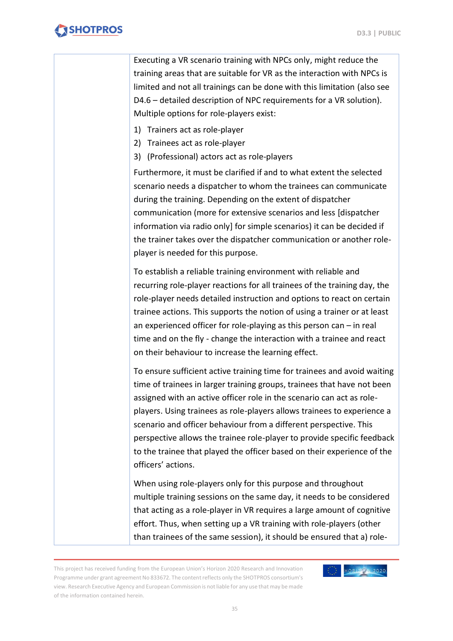Executing a VR scenario training with NPCs only, might reduce the training areas that are suitable for VR as the interaction with NPCs is limited and not all trainings can be done with this limitation (also see D4.6 – detailed description of NPC requirements for a VR solution). Multiple options for role-players exist:

- 1) Trainers act as role-player
- 2) Trainees act as role-player
- 3) (Professional) actors act as role-players

Furthermore, it must be clarified if and to what extent the selected scenario needs a dispatcher to whom the trainees can communicate during the training. Depending on the extent of dispatcher communication (more for extensive scenarios and less [dispatcher information via radio only] for simple scenarios) it can be decided if the trainer takes over the dispatcher communication or another roleplayer is needed for this purpose.

To establish a reliable training environment with reliable and recurring role-player reactions for all trainees of the training day, the role-player needs detailed instruction and options to react on certain trainee actions. This supports the notion of using a trainer or at least an experienced officer for role-playing as this person can – in real time and on the fly - change the interaction with a trainee and react on their behaviour to increase the learning effect.

To ensure sufficient active training time for trainees and avoid waiting time of trainees in larger training groups, trainees that have not been assigned with an active officer role in the scenario can act as roleplayers. Using trainees as role-players allows trainees to experience a scenario and officer behaviour from a different perspective. This perspective allows the trainee role-player to provide specific feedback to the trainee that played the officer based on their experience of the officers' actions.

When using role-players only for this purpose and throughout multiple training sessions on the same day, it needs to be considered that acting as a role-player in VR requires a large amount of cognitive effort. Thus, when setting up a VR training with role-players (other than trainees of the same session), it should be ensured that a) role-

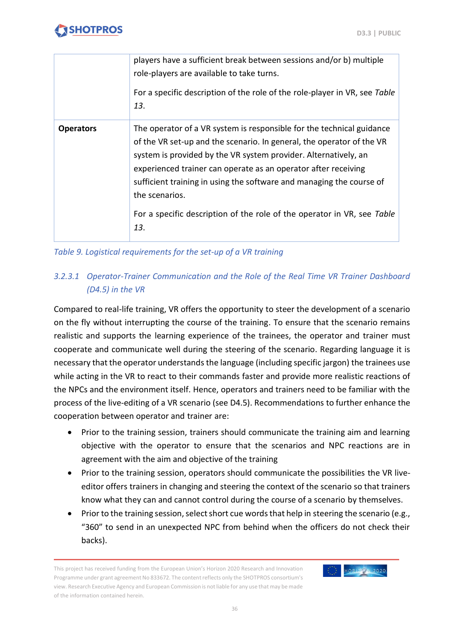HORIZ N 2020

## **SHOTPROS**

|                  | players have a sufficient break between sessions and/or b) multiple<br>role-players are available to take turns.<br>For a specific description of the role of the role-player in VR, see Table<br>13.                                                                                                                                                                                                                                                           |
|------------------|-----------------------------------------------------------------------------------------------------------------------------------------------------------------------------------------------------------------------------------------------------------------------------------------------------------------------------------------------------------------------------------------------------------------------------------------------------------------|
| <b>Operators</b> | The operator of a VR system is responsible for the technical guidance<br>of the VR set-up and the scenario. In general, the operator of the VR<br>system is provided by the VR system provider. Alternatively, an<br>experienced trainer can operate as an operator after receiving<br>sufficient training in using the software and managing the course of<br>the scenarios.<br>For a specific description of the role of the operator in VR, see Table<br>13. |

<span id="page-35-0"></span>*Table 9. Logistical requirements for the set-up of a VR training*

### *3.2.3.1 Operator-Trainer Communication and the Role of the Real Time VR Trainer Dashboard (D4.5) in the VR*

Compared to real-life training, VR offers the opportunity to steer the development of a scenario on the fly without interrupting the course of the training. To ensure that the scenario remains realistic and supports the learning experience of the trainees, the operator and trainer must cooperate and communicate well during the steering of the scenario. Regarding language it is necessary that the operator understands the language (including specific jargon) the trainees use while acting in the VR to react to their commands faster and provide more realistic reactions of the NPCs and the environment itself. Hence, operators and trainers need to be familiar with the process of the live-editing of a VR scenario (see D4.5). Recommendations to further enhance the cooperation between operator and trainer are:

- Prior to the training session, trainers should communicate the training aim and learning objective with the operator to ensure that the scenarios and NPC reactions are in agreement with the aim and objective of the training
- Prior to the training session, operators should communicate the possibilities the VR liveeditor offers trainers in changing and steering the context of the scenario so that trainers know what they can and cannot control during the course of a scenario by themselves.
- Prior to the training session, select short cue words that help in steering the scenario (e.g., "360" to send in an unexpected NPC from behind when the officers do not check their backs).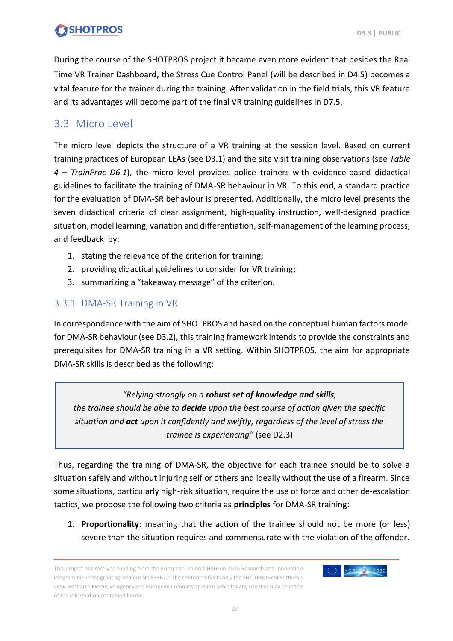During the course of the SHOTPROS project it became even more evident that besides the Real Time VR Trainer Dashboard, the Stress Cue Control Panel (will be described in D4.5) becomes a vital feature for the trainer during the training. After validation in the field trials, this VR feature and its advantages will become part of the final VR training guidelines in D7.5.

### <span id="page-36-0"></span>3.3 Micro Level

The micro level depicts the structure of a VR training at the session level. Based on current training practices of European LEAs (see D3.1) and the site visit training observations (see *Table 4 – TrainPrac D6.1*), the micro level provides police trainers with evidence-based didactical guidelines to facilitate the training of DMA-SR behaviour in VR. To this end, a standard practice for the evaluation of DMA-SR behaviour is presented. Additionally, the micro level presents the seven didactical criteria of clear assignment, high-quality instruction, well-designed practice situation, model learning, variation and differentiation, self-management of the learning process, and feedback by:

- 1. stating the relevance of the criterion for training;
- 2. providing didactical guidelines to consider for VR training;
- 3. summarizing a "takeaway message" of the criterion.

### <span id="page-36-1"></span>3.3.1 DMA-SR Training in VR

In correspondence with the aim of SHOTPROS and based on the conceptual human factors model for DMA-SR behaviour (see D3.2), this training framework intends to provide the constraints and prerequisites for DMA-SR training in a VR setting. Within SHOTPROS, the aim for appropriate DMA-SR skills is described as the following:

*"Relying strongly on a robust set of knowledge and skills, the trainee should be able to decide upon the best course of action given the specific situation and act upon it confidently and swiftly, regardless of the level of stress the trainee is experiencing"* (see D2.3)

Thus, regarding the training of DMA-SR, the objective for each trainee should be to solve a situation safely and without injuring self or others and ideally without the use of a firearm. Since some situations, particularly high-risk situation, require the use of force and other de-escalation tactics, we propose the following two criteria as **principles** for DMA-SR training:

1. **Proportionality**: meaning that the action of the trainee should not be more (or less) severe than the situation requires and commensurate with the violation of the offender.

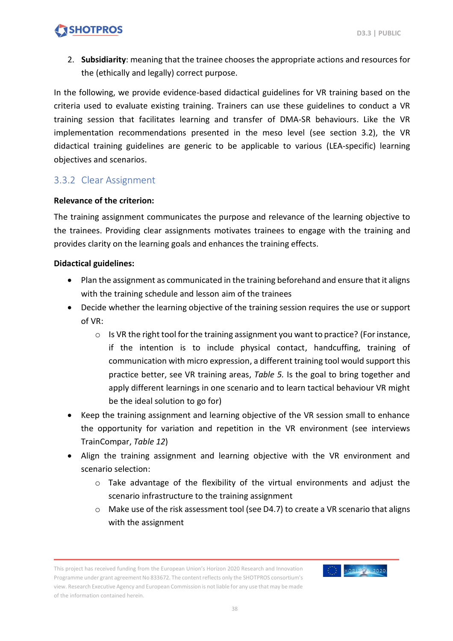2. **Subsidiarity**: meaning that the trainee chooses the appropriate actions and resources for the (ethically and legally) correct purpose.

In the following, we provide evidence-based didactical guidelines for VR training based on the criteria used to evaluate existing training. Trainers can use these guidelines to conduct a VR training session that facilitates learning and transfer of DMA-SR behaviours. Like the VR implementation recommendations presented in the meso level (see section 3.2), the VR didactical training guidelines are generic to be applicable to various (LEA-specific) learning objectives and scenarios.

#### <span id="page-37-0"></span>3.3.2 Clear Assignment

#### **Relevance of the criterion:**

The training assignment communicates the purpose and relevance of the learning objective to the trainees. Providing clear assignments motivates trainees to engage with the training and provides clarity on the learning goals and enhances the training effects.

- Plan the assignment as communicated in the training beforehand and ensure that it aligns with the training schedule and lesson aim of the trainees
- Decide whether the learning objective of the training session requires the use or support of VR:
	- o Is VR the right tool for the training assignment you want to practice? (Forinstance, if the intention is to include physical contact, handcuffing, training of communication with micro expression, a different training tool would support this practice better, see VR training areas, *Table 5.* Is the goal to bring together and apply different learnings in one scenario and to learn tactical behaviour VR might be the ideal solution to go for)
- Keep the training assignment and learning objective of the VR session small to enhance the opportunity for variation and repetition in the VR environment (see interviews TrainCompar, *Table 12*)
- Align the training assignment and learning objective with the VR environment and scenario selection:
	- o Take advantage of the flexibility of the virtual environments and adjust the scenario infrastructure to the training assignment
	- $\circ$  Make use of the risk assessment tool (see D4.7) to create a VR scenario that aligns with the assignment

This project has received funding from the European Union's Horizon 2020 Research and Innovation Programme under grant agreement No 833672. The content reflects only the SHOTPROS consortium's view. Research Executive Agency and European Commission is not liable for any use that may be made of the information contained herein.

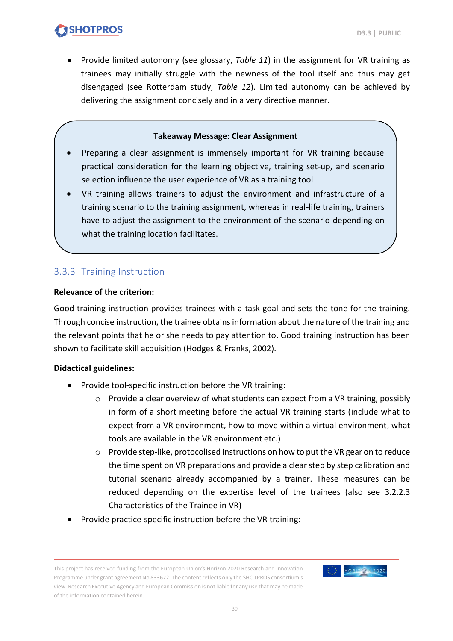HORIZION 2020

### **SHOTPROS**

• Provide limited autonomy (see glossary, *Table 11*) in the assignment for VR training as trainees may initially struggle with the newness of the tool itself and thus may get disengaged (see Rotterdam study, *Table 12*). Limited autonomy can be achieved by delivering the assignment concisely and in a very directive manner.

#### **Takeaway Message: Clear Assignment**

- Preparing a clear assignment is immensely important for VR training because practical consideration for the learning objective, training set-up, and scenario selection influence the user experience of VR as a training tool
- VR training allows trainers to adjust the environment and infrastructure of a training scenario to the training assignment, whereas in real-life training, trainers have to adjust the assignment to the environment of the scenario depending on what the training location facilitates.

### <span id="page-38-0"></span>3.3.3 Training Instruction

#### **Relevance of the criterion:**

Good training instruction provides trainees with a task goal and sets the tone for the training. Through concise instruction, the trainee obtains information about the nature of the training and the relevant points that he or she needs to pay attention to. Good training instruction has been shown to facilitate skill acquisition (Hodges & Franks, 2002).

- Provide tool-specific instruction before the VR training:
	- o Provide a clear overview of what students can expect from a VR training, possibly in form of a short meeting before the actual VR training starts (include what to expect from a VR environment, how to move within a virtual environment, what tools are available in the VR environment etc.)
	- $\circ$  Provide step-like, protocolised instructions on how to put the VR gear on to reduce the time spent on VR preparations and provide a clear step by step calibration and tutorial scenario already accompanied by a trainer. These measures can be reduced depending on the expertise level of the trainees (also see [3.2.2.3](#page-28-1) [Characteristics](#page-28-1) of the Trainee in VR)
- Provide practice-specific instruction before the VR training:

This project has received funding from the European Union's Horizon 2020 Research and Innovation Programme under grant agreement No 833672. The content reflects only the SHOTPROS consortium's view. Research Executive Agency and European Commission is not liable for any use that may be made of the information contained herein.

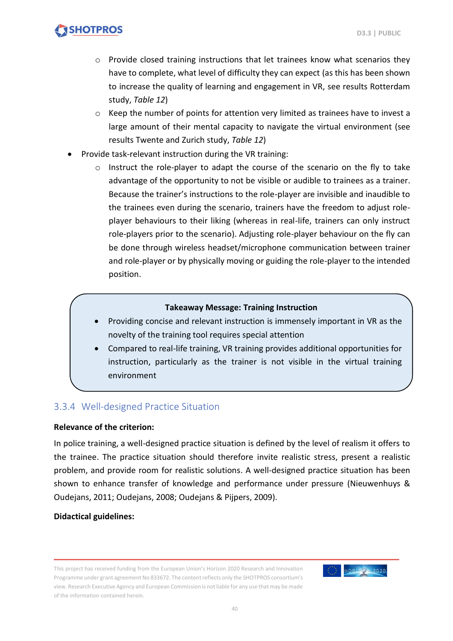- $\circ$  Provide closed training instructions that let trainees know what scenarios they have to complete, what level of difficulty they can expect (as this has been shown to increase the quality of learning and engagement in VR, see results Rotterdam study, *Table 12*)
- $\circ$  Keep the number of points for attention very limited as trainees have to invest a large amount of their mental capacity to navigate the virtual environment (see results Twente and Zurich study, *Table 12*)
- Provide task-relevant instruction during the VR training:
	- o Instruct the role-player to adapt the course of the scenario on the fly to take advantage of the opportunity to not be visible or audible to trainees as a trainer. Because the trainer's instructions to the role-player are invisible and inaudible to the trainees even during the scenario, trainers have the freedom to adjust roleplayer behaviours to their liking (whereas in real-life, trainers can only instruct role-players prior to the scenario). Adjusting role-player behaviour on the fly can be done through wireless headset/microphone communication between trainer and role-player or by physically moving or guiding the role-player to the intended position.

#### **Takeaway Message: Training Instruction**

- Providing concise and relevant instruction is immensely important in VR as the novelty of the training tool requires special attention
- Compared to real-life training, VR training provides additional opportunities for instruction, particularly as the trainer is not visible in the virtual training environment

#### <span id="page-39-0"></span>3.3.4 Well-designed Practice Situation

#### **Relevance of the criterion:**

In police training, a well-designed practice situation is defined by the level of realism it offers to the trainee. The practice situation should therefore invite realistic stress, present a realistic problem, and provide room for realistic solutions. A well-designed practice situation has been shown to enhance transfer of knowledge and performance under pressure (Nieuwenhuys & Oudejans, 2011; Oudejans, 2008; Oudejans & Pijpers, 2009).

This project has received funding from the European Union's Horizon 2020 Research and Innovation Programme under grant agreement No 833672. The content reflects only the SHOTPROS consortium's view. Research Executive Agency and European Commission is not liable for any use that may be made of the information contained herein.

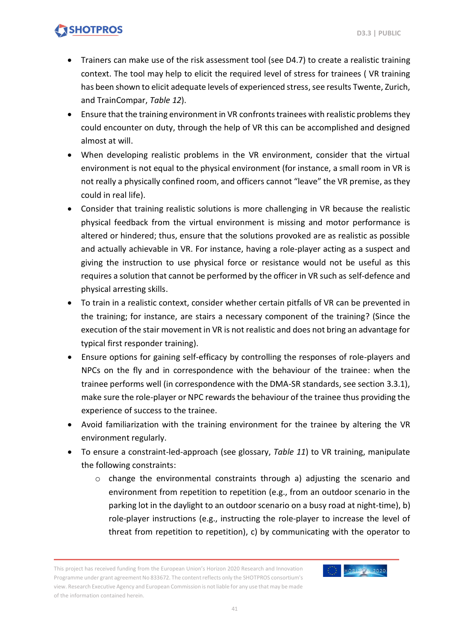HORIZE N 2020

### **SHOTPROS**

- Trainers can make use of the risk assessment tool (see D4.7) to create a realistic training context. The tool may help to elicit the required level of stress for trainees ( VR training has been shown to elicit adequate levels of experienced stress, see results Twente, Zurich, and TrainCompar, *Table 12*).
- Ensure that the training environment in VR confronts trainees with realistic problems they could encounter on duty, through the help of VR this can be accomplished and designed almost at will.
- When developing realistic problems in the VR environment, consider that the virtual environment is not equal to the physical environment (for instance, a small room in VR is not really a physically confined room, and officers cannot "leave" the VR premise, as they could in real life).
- Consider that training realistic solutions is more challenging in VR because the realistic physical feedback from the virtual environment is missing and motor performance is altered or hindered; thus, ensure that the solutions provoked are as realistic as possible and actually achievable in VR. For instance, having a role-player acting as a suspect and giving the instruction to use physical force or resistance would not be useful as this requires a solution that cannot be performed by the officer in VR such as self-defence and physical arresting skills.
- To train in a realistic context, consider whether certain pitfalls of VR can be prevented in the training; for instance, are stairs a necessary component of the training? (Since the execution of the stair movement in VR is not realistic and does not bring an advantage for typical first responder training).
- Ensure options for gaining self-efficacy by controlling the responses of role-players and NPCs on the fly and in correspondence with the behaviour of the trainee: when the trainee performs well (in correspondence with the DMA-SR standards, see section 3.3.1), make sure the role-player or NPC rewards the behaviour of the trainee thus providing the experience of success to the trainee.
- Avoid familiarization with the training environment for the trainee by altering the VR environment regularly.
- To ensure a constraint-led-approach (see glossary, *Table 11*) to VR training, manipulate the following constraints:
	- $\circ$  change the environmental constraints through a) adjusting the scenario and environment from repetition to repetition (e.g., from an outdoor scenario in the parking lot in the daylight to an outdoor scenario on a busy road at night-time), b) role-player instructions (e.g., instructing the role-player to increase the level of threat from repetition to repetition), c) by communicating with the operator to

This project has received funding from the European Union's Horizon 2020 Research and Innovation Programme under grant agreement No 833672. The content reflects only the SHOTPROS consortium's view. Research Executive Agency and European Commission is not liable for any use that may be made of the information contained herein.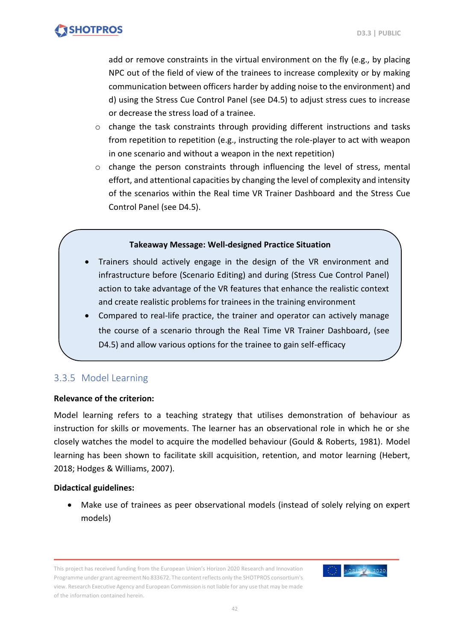add or remove constraints in the virtual environment on the fly (e.g., by placing NPC out of the field of view of the trainees to increase complexity or by making communication between officers harder by adding noise to the environment) and d) using the Stress Cue Control Panel (see D4.5) to adjust stress cues to increase or decrease the stress load of a trainee.

- $\circ$  change the task constraints through providing different instructions and tasks from repetition to repetition (e.g., instructing the role-player to act with weapon in one scenario and without a weapon in the next repetition)
- $\circ$  change the person constraints through influencing the level of stress, mental effort, and attentional capacities by changing the level of complexity and intensity of the scenarios within the Real time VR Trainer Dashboard and the Stress Cue Control Panel (see D4.5).

#### **Takeaway Message: Well-designed Practice Situation**

- Trainers should actively engage in the design of the VR environment and infrastructure before (Scenario Editing) and during (Stress Cue Control Panel) action to take advantage of the VR features that enhance the realistic context and create realistic problems for trainees in the training environment
- Compared to real-life practice, the trainer and operator can actively manage the course of a scenario through the Real Time VR Trainer Dashboard, (see D4.5) and allow various options for the trainee to gain self-efficacy

### <span id="page-41-0"></span>3.3.5 Model Learning

#### **Relevance of the criterion:**

Model learning refers to a teaching strategy that utilises demonstration of behaviour as instruction for skills or movements. The learner has an observational role in which he or she closely watches the model to acquire the modelled behaviour (Gould & Roberts, 1981). Model learning has been shown to facilitate skill acquisition, retention, and motor learning (Hebert, 2018; Hodges & Williams, 2007).

#### **Didactical guidelines:**

• Make use of trainees as peer observational models (instead of solely relying on expert models)

This project has received funding from the European Union's Horizon 2020 Research and Innovation Programme under grant agreement No 833672. The content reflects only the SHOTPROS consortium's view. Research Executive Agency and European Commission is not liable for any use that may be made of the information contained herein.

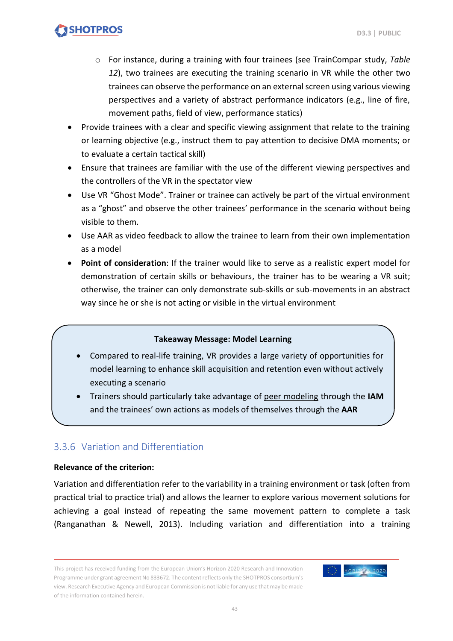- o For instance, during a training with four trainees (see TrainCompar study, *Table 12*), two trainees are executing the training scenario in VR while the other two trainees can observe the performance on an external screen using various viewing perspectives and a variety of abstract performance indicators (e.g., line of fire, movement paths, field of view, performance statics)
- Provide trainees with a clear and specific viewing assignment that relate to the training or learning objective (e.g., instruct them to pay attention to decisive DMA moments; or to evaluate a certain tactical skill)
- Ensure that trainees are familiar with the use of the different viewing perspectives and the controllers of the VR in the spectator view
- Use VR "Ghost Mode". Trainer or trainee can actively be part of the virtual environment as a "ghost" and observe the other trainees' performance in the scenario without being visible to them.
- Use AAR as video feedback to allow the trainee to learn from their own implementation as a model
- **Point of consideration**: If the trainer would like to serve as a realistic expert model for demonstration of certain skills or behaviours, the trainer has to be wearing a VR suit; otherwise, the trainer can only demonstrate sub-skills or sub-movements in an abstract way since he or she is not acting or visible in the virtual environment

#### **Takeaway Message: Model Learning**

- Compared to real-life training, VR provides a large variety of opportunities for model learning to enhance skill acquisition and retention even without actively executing a scenario
- Trainers should particularly take advantage of peer modeling through the **IAM** and the trainees' own actions as models of themselves through the **AAR**

### <span id="page-42-0"></span>3.3.6 Variation and Differentiation

#### **Relevance of the criterion:**

Variation and differentiation refer to the variability in a training environment or task (often from practical trial to practice trial) and allows the learner to explore various movement solutions for achieving a goal instead of repeating the same movement pattern to complete a task (Ranganathan & Newell, 2013). Including variation and differentiation into a training

This project has received funding from the European Union's Horizon 2020 Research and Innovation Programme under grant agreement No 833672. The content reflects only the SHOTPROS consortium's view. Research Executive Agency and European Commission is not liable for any use that may be made of the information contained herein.

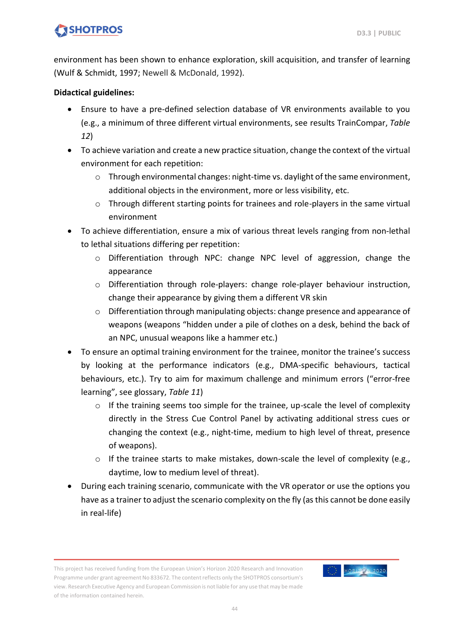environment has been shown to enhance exploration, skill acquisition, and transfer of learning (Wulf & Schmidt, 1997; Newell & McDonald, 1992).

- Ensure to have a pre-defined selection database of VR environments available to you (e.g., a minimum of three different virtual environments, see results TrainCompar, *Table 12*)
- To achieve variation and create a new practice situation, change the context of the virtual environment for each repetition:
	- $\circ$  Through environmental changes: night-time vs. daylight of the same environment, additional objects in the environment, more or less visibility, etc.
	- o Through different starting points for trainees and role-players in the same virtual environment
- To achieve differentiation, ensure a mix of various threat levels ranging from non-lethal to lethal situations differing per repetition:
	- $\circ$  Differentiation through NPC: change NPC level of aggression, change the appearance
	- o Differentiation through role-players: change role-player behaviour instruction, change their appearance by giving them a different VR skin
	- $\circ$  Differentiation through manipulating objects: change presence and appearance of weapons (weapons "hidden under a pile of clothes on a desk, behind the back of an NPC, unusual weapons like a hammer etc.)
- To ensure an optimal training environment for the trainee, monitor the trainee's success by looking at the performance indicators (e.g., DMA-specific behaviours, tactical behaviours, etc.). Try to aim for maximum challenge and minimum errors ("error-free learning", see glossary, *Table 11*)
	- o If the training seems too simple for the trainee, up-scale the level of complexity directly in the Stress Cue Control Panel by activating additional stress cues or changing the context (e.g., night-time, medium to high level of threat, presence of weapons).
	- $\circ$  If the trainee starts to make mistakes, down-scale the level of complexity (e.g., daytime, low to medium level of threat).
- During each training scenario, communicate with the VR operator or use the options you have as a trainer to adjust the scenario complexity on the fly (as this cannot be done easily in real-life)

This project has received funding from the European Union's Horizon 2020 Research and Innovation Programme under grant agreement No 833672. The content reflects only the SHOTPROS consortium's view. Research Executive Agency and European Commission is not liable for any use that may be made of the information contained herein.

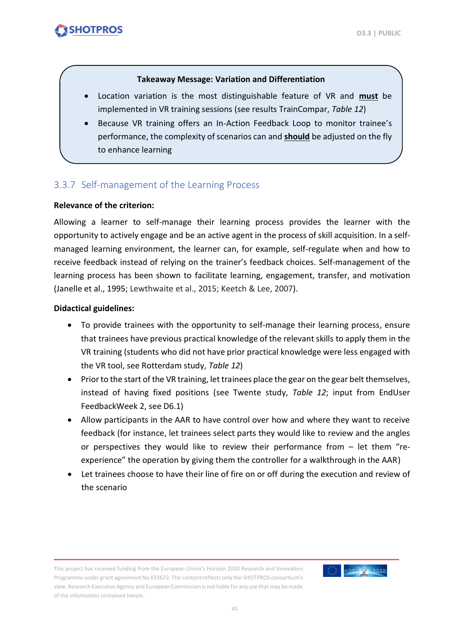#### **Takeaway Message: Variation and Differentiation**

- Location variation is the most distinguishable feature of VR and **must** be implemented in VR training sessions (see results TrainCompar, *Table 12*)
- Because VR training offers an In-Action Feedback Loop to monitor trainee's performance, the complexity of scenarios can and **should** be adjusted on the fly to enhance learning

### <span id="page-44-0"></span>3.3.7 Self-management of the Learning Process

#### **Relevance of the criterion:**

Allowing a learner to self-manage their learning process provides the learner with the opportunity to actively engage and be an active agent in the process of skill acquisition. In a selfmanaged learning environment, the learner can, for example, self-regulate when and how to receive feedback instead of relying on the trainer's feedback choices. Self-management of the learning process has been shown to facilitate learning, engagement, transfer, and motivation (Janelle et al., 1995; Lewthwaite et al., 2015; Keetch & Lee, 2007).

#### **Didactical guidelines:**

- To provide trainees with the opportunity to self-manage their learning process, ensure that trainees have previous practical knowledge of the relevant skills to apply them in the VR training (students who did not have prior practical knowledge were less engaged with the VR tool, see Rotterdam study, *Table 12*)
- Prior to the start of the VR training, let trainees place the gear on the gear belt themselves, instead of having fixed positions (see Twente study, *Table 12*; input from EndUser FeedbackWeek 2, see D6.1)
- Allow participants in the AAR to have control over how and where they want to receive feedback (for instance, let trainees select parts they would like to review and the angles or perspectives they would like to review their performance from – let them "reexperience" the operation by giving them the controller for a walkthrough in the AAR)
- Let trainees choose to have their line of fire on or off during the execution and review of the scenario

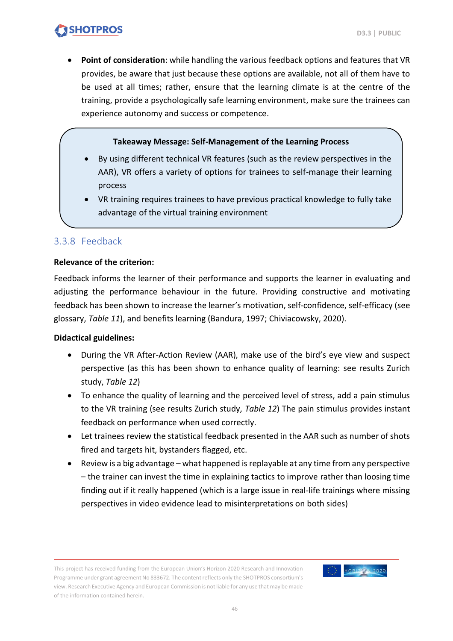• **Point of consideration**: while handling the various feedback options and features that VR provides, be aware that just because these options are available, not all of them have to be used at all times; rather, ensure that the learning climate is at the centre of the training, provide a psychologically safe learning environment, make sure the trainees can experience autonomy and success or competence.

#### **Takeaway Message: Self-Management of the Learning Process**

- By using different technical VR features (such as the review perspectives in the AAR), VR offers a variety of options for trainees to self-manage their learning process
- VR training requires trainees to have previous practical knowledge to fully take advantage of the virtual training environment

#### <span id="page-45-0"></span>3.3.8 Feedback

#### **Relevance of the criterion:**

Feedback informs the learner of their performance and supports the learner in evaluating and adjusting the performance behaviour in the future. Providing constructive and motivating feedback has been shown to increase the learner's motivation, self-confidence, self-efficacy (see glossary, *Table 11*), and benefits learning (Bandura, 1997; Chiviacowsky, 2020).

#### **Didactical guidelines:**

- During the VR After-Action Review (AAR), make use of the bird's eye view and suspect perspective (as this has been shown to enhance quality of learning: see results Zurich study, *Table 12*)
- To enhance the quality of learning and the perceived level of stress, add a pain stimulus to the VR training (see results Zurich study, *Table 12*) The pain stimulus provides instant feedback on performance when used correctly.
- Let trainees review the statistical feedback presented in the AAR such as number of shots fired and targets hit, bystanders flagged, etc.
- Review is a big advantage what happened is replayable at any time from any perspective – the trainer can invest the time in explaining tactics to improve rather than loosing time finding out if it really happened (which is a large issue in real-life trainings where missing perspectives in video evidence lead to misinterpretations on both sides)

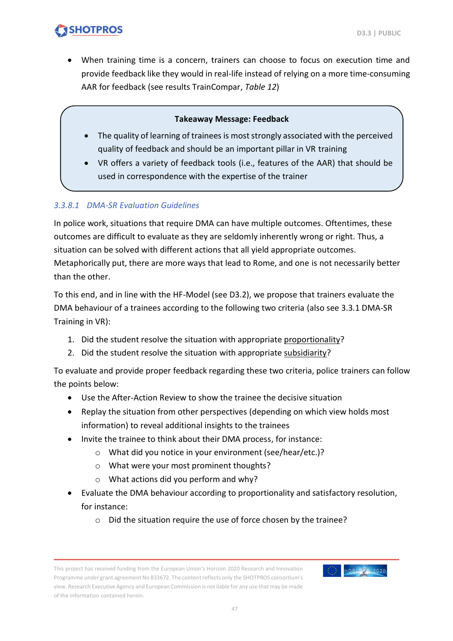• When training time is a concern, trainers can choose to focus on execution time and provide feedback like they would in real-life instead of relying on a more time-consuming AAR for feedback (see results TrainCompar, *Table 12*)

#### **Takeaway Message: Feedback**

- The quality of learning of trainees is most strongly associated with the perceived quality of feedback and should be an important pillar in VR training
- VR offers a variety of feedback tools (i.e., features of the AAR) that should be used in correspondence with the expertise of the trainer

#### *3.3.8.1 DMA-SR Evaluation Guidelines*

In police work, situations that require DMA can have multiple outcomes. Oftentimes, these outcomes are difficult to evaluate as they are seldomly inherently wrong or right. Thus, a situation can be solved with different actions that all yield appropriate outcomes. Metaphorically put, there are more ways that lead to Rome, and one is not necessarily better than the other.

To this end, and in line with the HF-Model (see D3.2), we propose that trainers evaluate the DMA behaviour of a trainees according to the following two criteria (also see [3.3.1](#page-36-1) [DMA-SR](#page-36-1)  [Training in VR\)](#page-36-1):

- 1. Did the student resolve the situation with appropriate proportionality?
- 2. Did the student resolve the situation with appropriate subsidiarity?

To evaluate and provide proper feedback regarding these two criteria, police trainers can follow the points below:

- Use the After-Action Review to show the trainee the decisive situation
- Replay the situation from other perspectives (depending on which view holds most information) to reveal additional insights to the trainees
- Invite the trainee to think about their DMA process, for instance:
	- o What did you notice in your environment (see/hear/etc.)?
	- o What were your most prominent thoughts?
	- o What actions did you perform and why?
- Evaluate the DMA behaviour according to proportionality and satisfactory resolution, for instance:
	- o Did the situation require the use of force chosen by the trainee?

This project has received funding from the European Union's Horizon 2020 Research and Innovation Programme under grant agreement No 833672. The content reflects only the SHOTPROS consortium's view. Research Executive Agency and European Commission is not liable for any use that may be made of the information contained herein.

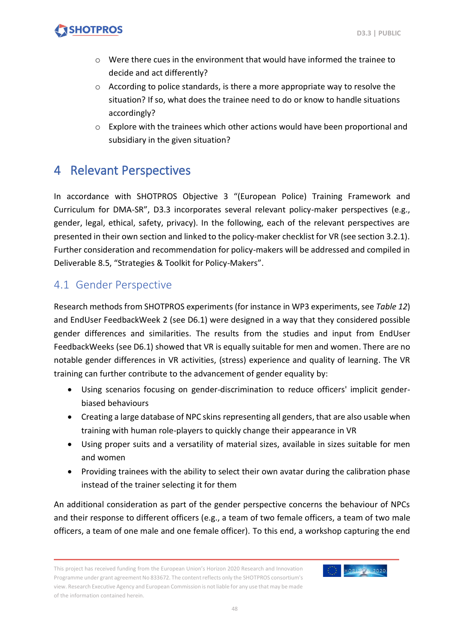- $\circ$  Were there cues in the environment that would have informed the trainee to decide and act differently?
- o According to police standards, is there a more appropriate way to resolve the situation? If so, what does the trainee need to do or know to handle situations accordingly?
- $\circ$  Explore with the trainees which other actions would have been proportional and subsidiary in the given situation?

### <span id="page-47-0"></span>4 Relevant Perspectives

In accordance with SHOTPROS Objective 3 "(European Police) Training Framework and Curriculum for DMA-SR", D3.3 incorporates several relevant policy-maker perspectives (e.g., gender, legal, ethical, safety, privacy). In the following, each of the relevant perspectives are presented in their own section and linked to the policy-maker checklist for VR (see section 3.2.1). Further consideration and recommendation for policy-makers will be addressed and compiled in Deliverable 8.5, "Strategies & Toolkit for Policy-Makers".

### <span id="page-47-1"></span>4.1 Gender Perspective

Research methods from SHOTPROS experiments (for instance in WP3 experiments, see *Table 12*) and EndUser FeedbackWeek 2 (see D6.1) were designed in a way that they considered possible gender differences and similarities. The results from the studies and input from EndUser FeedbackWeeks (see D6.1) showed that VR is equally suitable for men and women. There are no notable gender differences in VR activities, (stress) experience and quality of learning. The VR training can further contribute to the advancement of gender equality by:

- Using scenarios focusing on gender-discrimination to reduce officers' implicit genderbiased behaviours
- Creating a large database of NPC skins representing all genders, that are also usable when training with human role-players to quickly change their appearance in VR
- Using proper suits and a versatility of material sizes, available in sizes suitable for men and women
- Providing trainees with the ability to select their own avatar during the calibration phase instead of the trainer selecting it for them

An additional consideration as part of the gender perspective concerns the behaviour of NPCs and their response to different officers (e.g., a team of two female officers, a team of two male officers, a team of one male and one female officer). To this end, a workshop capturing the end

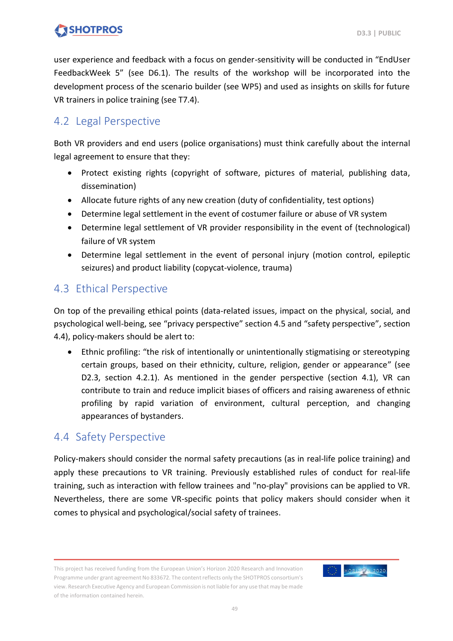user experience and feedback with a focus on gender-sensitivity will be conducted in "EndUser FeedbackWeek 5" (see D6.1). The results of the workshop will be incorporated into the development process of the scenario builder (see WP5) and used as insights on skills for future VR trainers in police training (see T7.4).

### <span id="page-48-0"></span>4.2 Legal Perspective

Both VR providers and end users (police organisations) must think carefully about the internal legal agreement to ensure that they:

- Protect existing rights (copyright of software, pictures of material, publishing data, dissemination)
- Allocate future rights of any new creation (duty of confidentiality, test options)
- Determine legal settlement in the event of costumer failure or abuse of VR system
- Determine legal settlement of VR provider responsibility in the event of (technological) failure of VR system
- Determine legal settlement in the event of personal injury (motion control, epileptic seizures) and product liability (copycat-violence, trauma)

### <span id="page-48-1"></span>4.3 Ethical Perspective

On top of the prevailing ethical points (data-related issues, impact on the physical, social, and psychological well-being, see "privacy perspective" section 4.5 and "safety perspective", section 4.4), policy-makers should be alert to:

• Ethnic profiling: "the risk of intentionally or unintentionally stigmatising or stereotyping certain groups, based on their ethnicity, culture, religion, gender or appearance" (see D2.3, section 4.2.1). As mentioned in the gender perspective (section 4.1), VR can contribute to train and reduce implicit biases of officers and raising awareness of ethnic profiling by rapid variation of environment, cultural perception, and changing appearances of bystanders.

### <span id="page-48-2"></span>4.4 Safety Perspective

Policy-makers should consider the normal safety precautions (as in real-life police training) and apply these precautions to VR training. Previously established rules of conduct for real-life training, such as interaction with fellow trainees and "no-play" provisions can be applied to VR. Nevertheless, there are some VR-specific points that policy makers should consider when it comes to physical and psychological/social safety of trainees.

This project has received funding from the European Union's Horizon 2020 Research and Innovation Programme under grant agreement No 833672. The content reflects only the SHOTPROS consortium's view. Research Executive Agency and European Commission is not liable for any use that may be made of the information contained herein.

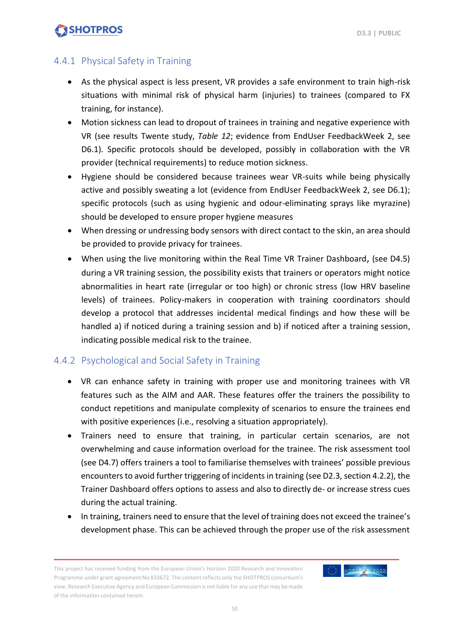### <span id="page-49-0"></span>4.4.1 Physical Safety in Training

- As the physical aspect is less present, VR provides a safe environment to train high-risk situations with minimal risk of physical harm (injuries) to trainees (compared to FX training, for instance).
- Motion sickness can lead to dropout of trainees in training and negative experience with VR (see results Twente study, *Table 12*; evidence from EndUser FeedbackWeek 2, see D6.1). Specific protocols should be developed, possibly in collaboration with the VR provider (technical requirements) to reduce motion sickness.
- Hygiene should be considered because trainees wear VR-suits while being physically active and possibly sweating a lot (evidence from EndUser FeedbackWeek 2, see D6.1); specific protocols (such as using hygienic and odour-eliminating sprays like myrazine) should be developed to ensure proper hygiene measures
- When dressing or undressing body sensors with direct contact to the skin, an area should be provided to provide privacy for trainees.
- When using the live monitoring within the Real Time VR Trainer Dashboard, (see D4.5) during a VR training session, the possibility exists that trainers or operators might notice abnormalities in heart rate (irregular or too high) or chronic stress (low HRV baseline levels) of trainees. Policy-makers in cooperation with training coordinators should develop a protocol that addresses incidental medical findings and how these will be handled a) if noticed during a training session and b) if noticed after a training session, indicating possible medical risk to the trainee.

### <span id="page-49-1"></span>4.4.2 Psychological and Social Safety in Training

- VR can enhance safety in training with proper use and monitoring trainees with VR features such as the AIM and AAR. These features offer the trainers the possibility to conduct repetitions and manipulate complexity of scenarios to ensure the trainees end with positive experiences (i.e., resolving a situation appropriately).
- Trainers need to ensure that training, in particular certain scenarios, are not overwhelming and cause information overload for the trainee. The risk assessment tool (see D4.7) offers trainers a tool to familiarise themselves with trainees' possible previous encounters to avoid further triggering of incidents in training (see D2.3, section 4.2.2), the Trainer Dashboard offers options to assess and also to directly de- or increase stress cues during the actual training.
- In training, trainers need to ensure that the level of training does not exceed the trainee's development phase. This can be achieved through the proper use of the risk assessment

This project has received funding from the European Union's Horizon 2020 Research and Innovation Programme under grant agreement No 833672. The content reflects only the SHOTPROS consortium's view. Research Executive Agency and European Commission is not liable for any use that may be made of the information contained herein.

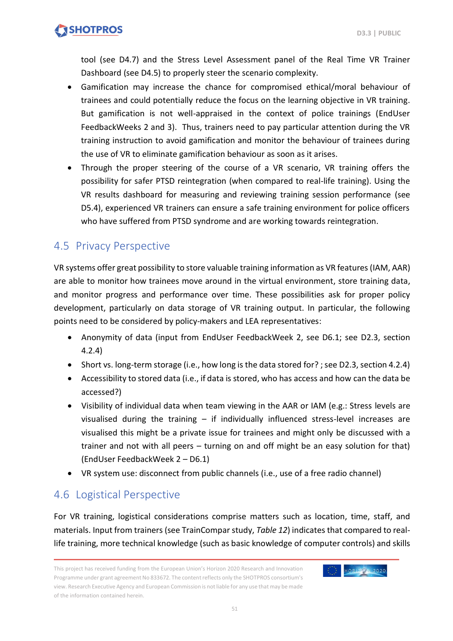

tool (see D4.7) and the Stress Level Assessment panel of the Real Time VR Trainer Dashboard (see D4.5) to properly steer the scenario complexity.

- Gamification may increase the chance for compromised ethical/moral behaviour of trainees and could potentially reduce the focus on the learning objective in VR training. But gamification is not well-appraised in the context of police trainings (EndUser FeedbackWeeks 2 and 3). Thus, trainers need to pay particular attention during the VR training instruction to avoid gamification and monitor the behaviour of trainees during the use of VR to eliminate gamification behaviour as soon as it arises.
- Through the proper steering of the course of a VR scenario, VR training offers the possibility for safer PTSD reintegration (when compared to real-life training). Using the VR results dashboard for measuring and reviewing training session performance (see D5.4), experienced VR trainers can ensure a safe training environment for police officers who have suffered from PTSD syndrome and are working towards reintegration.

### <span id="page-50-0"></span>4.5 Privacy Perspective

VR systems offer great possibility to store valuable training information as VR features (IAM, AAR) are able to monitor how trainees move around in the virtual environment, store training data, and monitor progress and performance over time. These possibilities ask for proper policy development, particularly on data storage of VR training output. In particular, the following points need to be considered by policy-makers and LEA representatives:

- Anonymity of data (input from EndUser FeedbackWeek 2, see D6.1; see D2.3, section 4.2.4)
- Short vs. long-term storage (i.e., how long is the data stored for? ; see D2.3, section 4.2.4)
- Accessibility to stored data (i.e., if data is stored, who has access and how can the data be accessed?)
- Visibility of individual data when team viewing in the AAR or IAM (e.g.: Stress levels are visualised during the training – if individually influenced stress-level increases are visualised this might be a private issue for trainees and might only be discussed with a trainer and not with all peers – turning on and off might be an easy solution for that) (EndUser FeedbackWeek 2 – D6.1)
- VR system use: disconnect from public channels (i.e., use of a free radio channel)

### <span id="page-50-1"></span>4.6 Logistical Perspective

For VR training, logistical considerations comprise matters such as location, time, staff, and materials. Input from trainers (see TrainComparstudy, *Table 12*) indicates that compared to reallife training, more technical knowledge (such as basic knowledge of computer controls) and skills

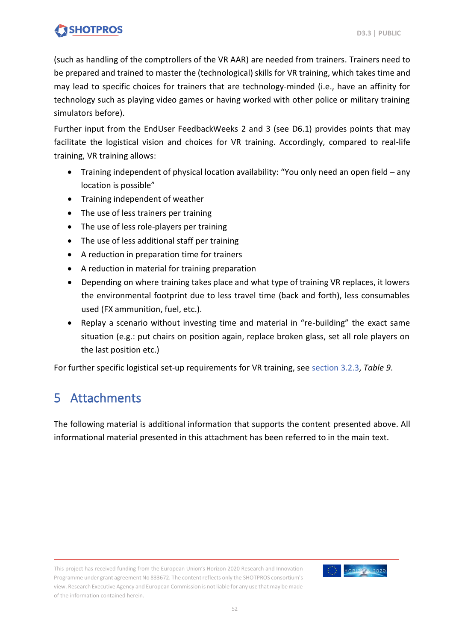(such as handling of the comptrollers of the VR AAR) are needed from trainers. Trainers need to be prepared and trained to master the (technological) skills for VR training, which takes time and may lead to specific choices for trainers that are technology-minded (i.e., have an affinity for technology such as playing video games or having worked with other police or military training simulators before).

Further input from the EndUser FeedbackWeeks 2 and 3 (see D6.1) provides points that may facilitate the logistical vision and choices for VR training. Accordingly, compared to real-life training, VR training allows:

- Training independent of physical location availability: "You only need an open field any location is possible"
- Training independent of weather
- The use of less trainers per training
- The use of less role-players per training
- The use of less additional staff per training
- A reduction in preparation time for trainers
- A reduction in material for training preparation
- Depending on where training takes place and what type of training VR replaces, it lowers the environmental footprint due to less travel time (back and forth), less consumables used (FX ammunition, fuel, etc.).
- Replay a scenario without investing time and material in "re-building" the exact same situation (e.g.: put chairs on position again, replace broken glass, set all role players on the last position etc.)

<span id="page-51-0"></span>For further specific logistical set-up requirements for VR training, see [section 3.2.3,](#page-31-0) *Table 9*.

### 5 Attachments

The following material is additional information that supports the content presented above. All informational material presented in this attachment has been referred to in the main text.

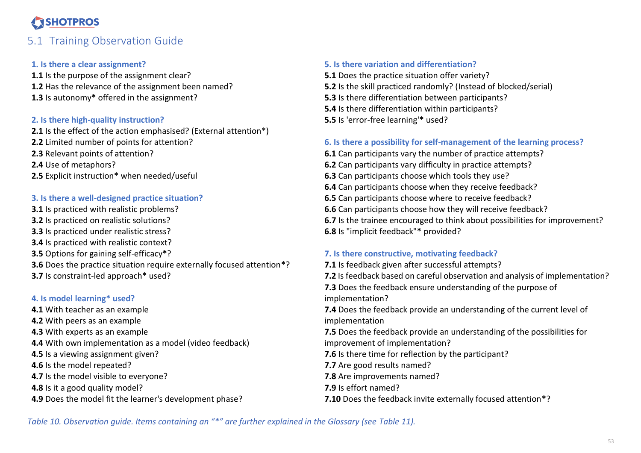### 5.1 Training Observation Guide

#### **1. Is there a clear assignment?**

1.1 Is the purpose of the assignment clear? **1.2** Has the relevance of the assignment been named? **1.3** Is autonomy**\*** offered in the assignment?

#### **2. Is there high-quality instruction?**

**2.1** Is the effect of the action emphasised? (External attention\*) **2.2** Limited number of points for attention? **2.3** Relevant points of attention? **2.4** Use of metaphors? **2.5** Explicit instruction**\*** when needed/useful

#### **3. Is there a well-designed practice situation?**

<span id="page-52-0"></span>**3.1** Is practiced with realistic problems? **3.2** Is practiced on realistic solutions? **3.3** Is practiced under realistic stress? **3.4** Is practiced with realistic context? **3.5** Options for gaining self-efficacy**\***? **3.6** Does the practice situation require externally focused attention**\***? **3.7** Is constraint-led approach**\*** used?

#### **4. Is model learning\* used?**

**4.1** With teacher as an example **4.2** With peers as an example **4.3** With experts as an example **4.4** With own implementation as a model (video feedback) **4.5** Is a viewing assignment given? **4.6** Is the model repeated? **4.7** Is the model visible to everyone? **4.8** Is it a good quality model?

**4.9** Does the model fit the learner's development phase?

#### **5. Is there variation and differentiation?**

**5.1** Does the practice situation offer variety? **5.2** Is the skill practiced randomly? (Instead of blocked/serial) **5.3** Is there differentiation between participants? **5.4** Is there differentiation within participants? **5.5** Is 'error-free learning'**\*** used?

#### **6. Is there a possibility for self-management of the learning process?**

**6.1** Can participants vary the number of practice attempts? **6.2** Can participants vary difficulty in practice attempts? **6.3** Can participants choose which tools they use? **6.4** Can participants choose when they receive feedback? **6.5** Can participants choose where to receive feedback? **6.6** Can participants choose how they will receive feedback? **6.7** Is the trainee encouraged to think about possibilities for improvement? **6.8** Is "implicit feedback"**\*** provided?

#### **7. Is there constructive, motivating feedback?**

**7.1** Is feedback given after successful attempts? **7.2** Is feedback based on careful observation and analysis of implementation? **7.3** Does the feedback ensure understanding of the purpose of implementation? **7.4** Does the feedback provide an understanding of the current level of implementation **7.5** Does the feedback provide an understanding of the possibilities for improvement of implementation? **7.6** Is there time for reflection by the participant? **7.7** Are good results named? **7.8** Are improvements named? **7.9** Is effort named? **7.10** Does the feedback invite externally focused attention**\***?

<span id="page-52-1"></span>*Table 10. Observation guide. Items containing an "\*" are further explained in the Glossary (see Table 11).*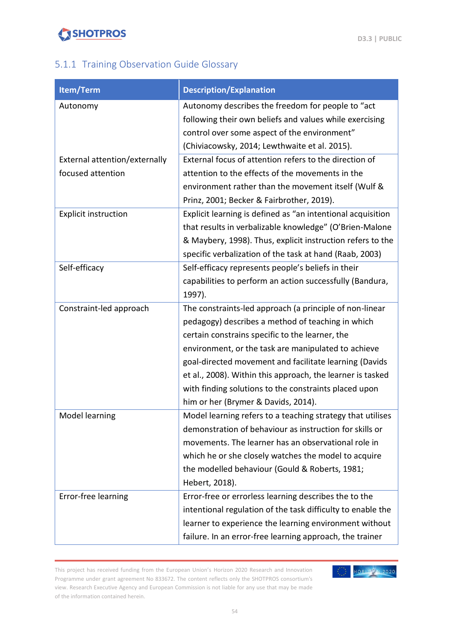

### <span id="page-53-0"></span>5.1.1 Training Observation Guide Glossary

| Item/Term                     | <b>Description/Explanation</b>                              |
|-------------------------------|-------------------------------------------------------------|
| Autonomy                      | Autonomy describes the freedom for people to "act           |
|                               | following their own beliefs and values while exercising     |
|                               | control over some aspect of the environment"                |
|                               | (Chiviacowsky, 2014; Lewthwaite et al. 2015).               |
| External attention/externally | External focus of attention refers to the direction of      |
| focused attention             | attention to the effects of the movements in the            |
|                               | environment rather than the movement itself (Wulf &         |
|                               | Prinz, 2001; Becker & Fairbrother, 2019).                   |
| <b>Explicit instruction</b>   | Explicit learning is defined as "an intentional acquisition |
|                               | that results in verbalizable knowledge" (O'Brien-Malone     |
|                               | & Maybery, 1998). Thus, explicit instruction refers to the  |
|                               | specific verbalization of the task at hand (Raab, 2003)     |
| Self-efficacy                 | Self-efficacy represents people's beliefs in their          |
|                               | capabilities to perform an action successfully (Bandura,    |
|                               | 1997).                                                      |
| Constraint-led approach       | The constraints-led approach (a principle of non-linear     |
|                               | pedagogy) describes a method of teaching in which           |
|                               | certain constrains specific to the learner, the             |
|                               | environment, or the task are manipulated to achieve         |
|                               | goal-directed movement and facilitate learning (Davids      |
|                               | et al., 2008). Within this approach, the learner is tasked  |
|                               | with finding solutions to the constraints placed upon       |
|                               | him or her (Brymer & Davids, 2014).                         |
| Model learning                | Model learning refers to a teaching strategy that utilises  |
|                               | demonstration of behaviour as instruction for skills or     |
|                               | movements. The learner has an observational role in         |
|                               | which he or she closely watches the model to acquire        |
|                               | the modelled behaviour (Gould & Roberts, 1981;              |
|                               | Hebert, 2018).                                              |
| Error-free learning           | Error-free or errorless learning describes the to the       |
|                               | intentional regulation of the task difficulty to enable the |
|                               | learner to experience the learning environment without      |
|                               | failure. In an error-free learning approach, the trainer    |

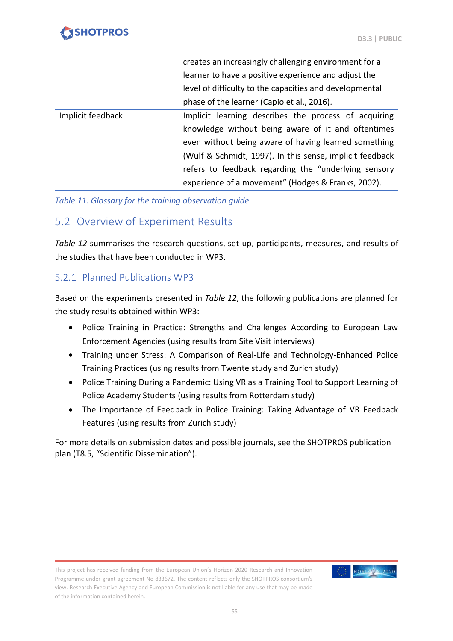

|                   | creates an increasingly challenging environment for a    |  |  |
|-------------------|----------------------------------------------------------|--|--|
|                   | learner to have a positive experience and adjust the     |  |  |
|                   | level of difficulty to the capacities and developmental  |  |  |
|                   | phase of the learner (Capio et al., 2016).               |  |  |
| Implicit feedback | Implicit learning describes the process of acquiring     |  |  |
|                   | knowledge without being aware of it and oftentimes       |  |  |
|                   | even without being aware of having learned something     |  |  |
|                   | (Wulf & Schmidt, 1997). In this sense, implicit feedback |  |  |
|                   | refers to feedback regarding the "underlying sensory     |  |  |
|                   | experience of a movement" (Hodges & Franks, 2002).       |  |  |

<span id="page-54-2"></span>*Table 11. Glossary for the training observation guide.*

### <span id="page-54-0"></span>5.2 Overview of Experiment Results

*Table 12* summarises the research questions, set-up, participants, measures, and results of the studies that have been conducted in WP3.

#### <span id="page-54-1"></span>5.2.1 Planned Publications WP3

Based on the experiments presented in *Table 12*, the following publications are planned for the study results obtained within WP3:

- Police Training in Practice: Strengths and Challenges According to European Law Enforcement Agencies (using results from Site Visit interviews)
- Training under Stress: A Comparison of Real-Life and Technology-Enhanced Police Training Practices (using results from Twente study and Zurich study)
- Police Training During a Pandemic: Using VR as a Training Tool to Support Learning of Police Academy Students (using results from Rotterdam study)
- The Importance of Feedback in Police Training: Taking Advantage of VR Feedback Features (using results from Zurich study)

For more details on submission dates and possible journals, see the SHOTPROS publication plan (T8.5, "Scientific Dissemination").

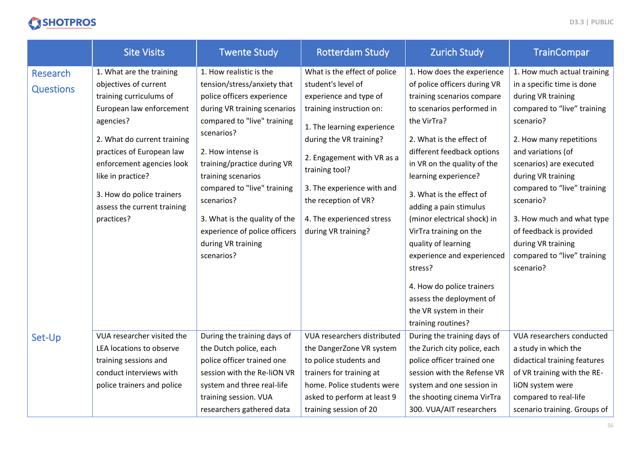|                              | <b>Site Visits</b>                                                                                                                                                                                                                  | <b>Twente Study</b>                                                                                                                                                                                                                                                        | <b>Rotterdam Study</b>                                                                                                                                                                                                                          | <b>Zurich Study</b>                                                                                                                                                                                                                                                                  | <b>TrainCompar</b>                                                                                                                                                                                                                                           |
|------------------------------|-------------------------------------------------------------------------------------------------------------------------------------------------------------------------------------------------------------------------------------|----------------------------------------------------------------------------------------------------------------------------------------------------------------------------------------------------------------------------------------------------------------------------|-------------------------------------------------------------------------------------------------------------------------------------------------------------------------------------------------------------------------------------------------|--------------------------------------------------------------------------------------------------------------------------------------------------------------------------------------------------------------------------------------------------------------------------------------|--------------------------------------------------------------------------------------------------------------------------------------------------------------------------------------------------------------------------------------------------------------|
| Research<br><b>Questions</b> | 1. What are the training<br>objectives of current<br>training curriculums of<br>European law enforcement<br>agencies?<br>2. What do current training<br>practices of European law<br>enforcement agencies look<br>like in practice? | 1. How realistic is the<br>tension/stress/anxiety that<br>police officers experience<br>during VR training scenarios<br>compared to "live" training<br>scenarios?<br>2. How intense is<br>training/practice during VR<br>training scenarios<br>compared to "live" training | What is the effect of police<br>student's level of<br>experience and type of<br>training instruction on:<br>1. The learning experience<br>during the VR training?<br>2. Engagement with VR as a<br>training tool?<br>3. The experience with and | 1. How does the experience<br>of police officers during VR<br>training scenarios compare<br>to scenarios performed in<br>the VirTra?<br>2. What is the effect of<br>different feedback options<br>in VR on the quality of the<br>learning experience?                                | 1. How much actual training<br>in a specific time is done<br>during VR training<br>compared to "live" training<br>scenario?<br>2. How many repetitions<br>and variations (of<br>scenarios) are executed<br>during VR training<br>compared to "live" training |
|                              | 3. How do police trainers<br>assess the current training<br>practices?                                                                                                                                                              | scenarios?<br>3. What is the quality of the<br>experience of police officers<br>during VR training<br>scenarios?                                                                                                                                                           | the reception of VR?<br>4. The experienced stress<br>during VR training?                                                                                                                                                                        | 3. What is the effect of<br>adding a pain stimulus<br>(minor electrical shock) in<br>VirTra training on the<br>quality of learning<br>experience and experienced<br>stress?<br>4. How do police trainers<br>assess the deployment of<br>the VR system in their<br>training routines? | scenario?<br>3. How much and what type<br>of feedback is provided<br>during VR training<br>compared to "live" training<br>scenario?                                                                                                                          |
| Set-Up                       | VUA researcher visited the<br>LEA locations to observe<br>training sessions and<br>conduct interviews with<br>police trainers and police                                                                                            | During the training days of<br>the Dutch police, each<br>police officer trained one<br>session with the Re-liON VR<br>system and three real-life<br>training session. VUA<br>researchers gathered data                                                                     | VUA researchers distributed<br>the DangerZone VR system<br>to police students and<br>trainers for training at<br>home. Police students were<br>asked to perform at least 9<br>training session of 20                                            | During the training days of<br>the Zurich city police, each<br>police officer trained one<br>session with the Refense VR<br>system and one session in<br>the shooting cinema VirTra<br>300. VUA/AIT researchers                                                                      | VUA researchers conducted<br>a study in which the<br>didactical training features<br>of VR training with the RE-<br>liON system were<br>compared to real-life<br>scenario training. Groups of                                                                |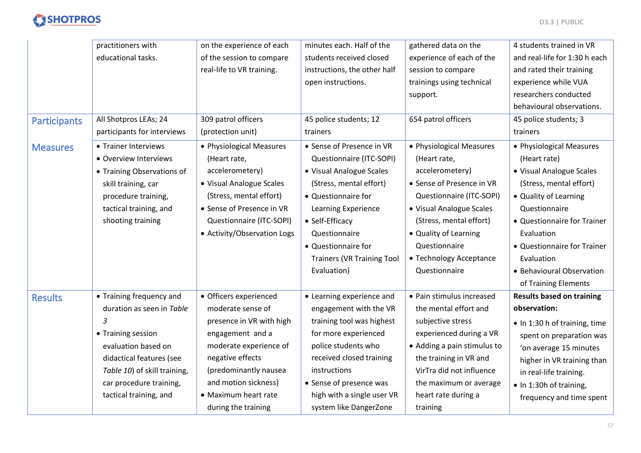

|                     | practitioners with           | on the experience of each   | minutes each. Half of the         | gathered data on the        | 4 students trained in VR         |
|---------------------|------------------------------|-----------------------------|-----------------------------------|-----------------------------|----------------------------------|
|                     | educational tasks.           | of the session to compare   | students received closed          | experience of each of the   | and real-life for 1:30 h each    |
|                     |                              | real-life to VR training.   | instructions, the other half      | session to compare          | and rated their training         |
|                     |                              |                             | open instructions.                | trainings using technical   | experience while VUA             |
|                     |                              |                             |                                   | support.                    | researchers conducted            |
|                     |                              |                             |                                   |                             | behavioural observations.        |
| <b>Participants</b> | All Shotpros LEAs; 24        | 309 patrol officers         | 45 police students; 12            | 654 patrol officers         | 45 police students; 3            |
|                     | participants for interviews  | (protection unit)           | trainers                          |                             | trainers                         |
| <b>Measures</b>     | • Trainer Interviews         | • Physiological Measures    | • Sense of Presence in VR         | • Physiological Measures    | • Physiological Measures         |
|                     | · Overview Interviews        | (Heart rate,                | Questionnaire (ITC-SOPI)          | (Heart rate,                | (Heart rate)                     |
|                     | • Training Observations of   | accelerometery)             | • Visual Analogue Scales          | accelerometery)             | • Visual Analogue Scales         |
|                     | skill training, car          | • Visual Analogue Scales    | (Stress, mental effort)           | • Sense of Presence in VR   | (Stress, mental effort)          |
|                     | procedure training,          | (Stress, mental effort)     | • Questionnaire for               | Questionnaire (ITC-SOPI)    | • Quality of Learning            |
|                     | tactical training, and       | • Sense of Presence in VR   | Learning Experience               | • Visual Analogue Scales    | Questionnaire                    |
|                     | shooting training            | Questionnaire (ITC-SOPI)    | • Self-Efficacy                   | (Stress, mental effort)     | • Questionnaire for Trainer      |
|                     |                              | • Activity/Observation Logs | Questionnaire                     | • Quality of Learning       | Evaluation                       |
|                     |                              |                             | • Questionnaire for               | Questionnaire               | • Questionnaire for Trainer      |
|                     |                              |                             | <b>Trainers (VR Training Tool</b> | • Technology Acceptance     | Evaluation                       |
|                     |                              |                             | Evaluation)                       | Questionnaire               | • Behavioural Observation        |
|                     |                              |                             |                                   |                             | of Training Elements             |
| <b>Results</b>      | • Training frequency and     | • Officers experienced      | • Learning experience and         | • Pain stimulus increased   | <b>Results based on training</b> |
|                     | duration as seen in Table    | moderate sense of           | engagement with the VR            | the mental effort and       | observation:                     |
|                     | 3                            | presence in VR with high    | training tool was highest         | subjective stress           | • In 1:30 h of training, time    |
|                     | • Training session           | engagement and a            | for more experienced              | experienced during a VR     | spent on preparation was         |
|                     | evaluation based on          | moderate experience of      | police students who               | • Adding a pain stimulus to | 'on average 15 minutes           |
|                     | didactical features (see     | negative effects            | received closed training          | the training in VR and      | higher in VR training than       |
|                     | Table 10) of skill training, | (predominantly nausea       | <i>instructions</i>               | VirTra did not influence    | in real-life training.           |
|                     | car procedure training,      | and motion sickness)        | • Sense of presence was           | the maximum or average      | • In 1:30h of training,          |
|                     | tactical training, and       | • Maximum heart rate        | high with a single user VR        | heart rate during a         | frequency and time spent         |
|                     |                              | during the training         | system like DangerZone            | training                    |                                  |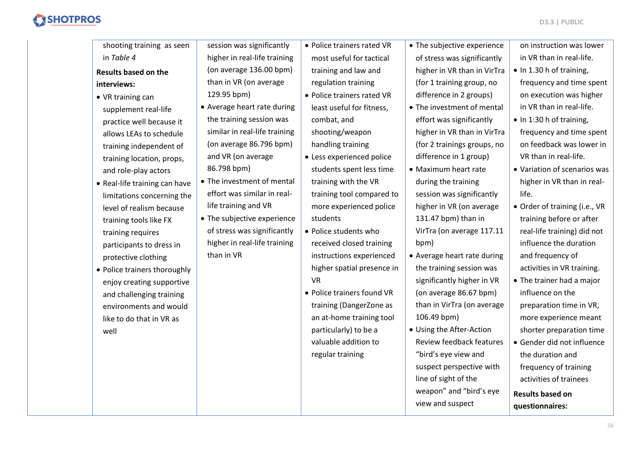| shooting training as seen     | session was significantly     | • Police trainers rated VR | • The subjective experience | on instruction was lower      |
|-------------------------------|-------------------------------|----------------------------|-----------------------------|-------------------------------|
| in Table 4                    | higher in real-life training  | most useful for tactical   | of stress was significantly | in VR than in real-life.      |
| <b>Results based on the</b>   | (on average 136.00 bpm)       | training and law and       | higher in VR than in VirTra | • In 1.30 h of training,      |
| interviews:                   | than in VR (on average        | regulation training        | (for 1 training group, no   | frequency and time spent      |
| • VR training can             | 129.95 bpm)                   | • Police trainers rated VR | difference in 2 groups)     | on execution was higher       |
| supplement real-life          | • Average heart rate during   | least useful for fitness,  | • The investment of mental  | in VR than in real-life.      |
| practice well because it      | the training session was      | combat, and                | effort was significantly    | • In 1:30 h of training,      |
| allows LEAs to schedule       | similar in real-life training | shooting/weapon            | higher in VR than in VirTra | frequency and time spent      |
| training independent of       | (on average 86.796 bpm)       | handling training          | (for 2 trainings groups, no | on feedback was lower in      |
| training location, props,     | and VR (on average            | • Less experienced police  | difference in 1 group)      | VR than in real-life.         |
| and role-play actors          | 86.798 bpm)                   | students spent less time   | • Maximum heart rate        | • Variation of scenarios was  |
| • Real-life training can have | • The investment of mental    | training with the VR       | during the training         | higher in VR than in real-    |
| limitations concerning the    | effort was similar in real-   | training tool compared to  | session was significantly   | life.                         |
| level of realism because      | life training and VR          | more experienced police    | higher in VR (on average    | · Order of training (i.e., VR |
| training tools like FX        | • The subjective experience   | students                   | 131.47 bpm) than in         | training before or after      |
| training requires             | of stress was significantly   | • Police students who      | VirTra (on average 117.11   | real-life training) did not   |
| participants to dress in      | higher in real-life training  | received closed training   | bpm)                        | influence the duration        |
| protective clothing           | than in VR                    | instructions experienced   | • Average heart rate during | and frequency of              |
| • Police trainers thoroughly  |                               | higher spatial presence in | the training session was    | activities in VR training.    |
| enjoy creating supportive     |                               | <b>VR</b>                  | significantly higher in VR  | • The trainer had a major     |
| and challenging training      |                               | • Police trainers found VR | (on average 86.67 bpm)      | influence on the              |
| environments and would        |                               | training (DangerZone as    | than in VirTra (on average  | preparation time in VR,       |
| like to do that in VR as      |                               | an at-home training tool   | 106.49 bpm)                 | more experience meant         |
| well                          |                               | particularly) to be a      | • Using the After-Action    | shorter preparation time      |
|                               |                               | valuable addition to       | Review feedback features    | • Gender did not influence    |
|                               |                               | regular training           | "bird's eye view and        | the duration and              |
|                               |                               |                            | suspect perspective with    | frequency of training         |
|                               |                               |                            | line of sight of the        | activities of trainees        |
|                               |                               |                            | weapon" and "bird's eye     | <b>Results based on</b>       |
|                               |                               |                            | view and suspect            | questionnaires:               |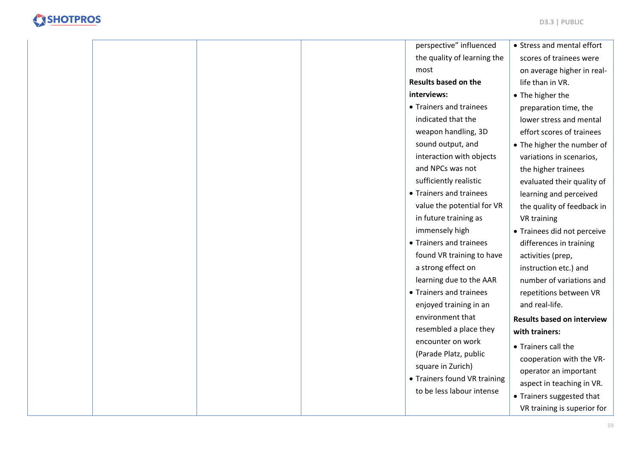

|  |  | perspective" influenced      | • Stress and mental effort        |
|--|--|------------------------------|-----------------------------------|
|  |  | the quality of learning the  | scores of trainees were           |
|  |  | most                         | on average higher in real-        |
|  |  | <b>Results based on the</b>  | life than in VR.                  |
|  |  | interviews:                  | • The higher the                  |
|  |  | • Trainers and trainees      | preparation time, the             |
|  |  | indicated that the           | lower stress and mental           |
|  |  | weapon handling, 3D          | effort scores of trainees         |
|  |  | sound output, and            | • The higher the number of        |
|  |  | interaction with objects     | variations in scenarios,          |
|  |  | and NPCs was not             | the higher trainees               |
|  |  | sufficiently realistic       | evaluated their quality of        |
|  |  | • Trainers and trainees      | learning and perceived            |
|  |  | value the potential for VR   | the quality of feedback in        |
|  |  | in future training as        | VR training                       |
|  |  | immensely high               | • Trainees did not perceive       |
|  |  | • Trainers and trainees      | differences in training           |
|  |  | found VR training to have    | activities (prep,                 |
|  |  | a strong effect on           | instruction etc.) and             |
|  |  | learning due to the AAR      | number of variations and          |
|  |  | • Trainers and trainees      | repetitions between VR            |
|  |  | enjoyed training in an       | and real-life.                    |
|  |  | environment that             | <b>Results based on interview</b> |
|  |  | resembled a place they       | with trainers:                    |
|  |  | encounter on work            | • Trainers call the               |
|  |  | (Parade Platz, public        | cooperation with the VR-          |
|  |  | square in Zurich)            | operator an important             |
|  |  | • Trainers found VR training | aspect in teaching in VR.         |
|  |  | to be less labour intense    | • Trainers suggested that         |
|  |  |                              | VR training is superior for       |
|  |  |                              |                                   |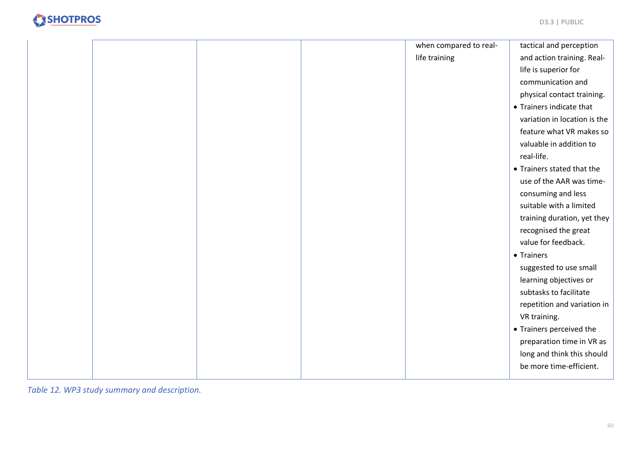|  |  | when compared to real- | tactical and perception      |
|--|--|------------------------|------------------------------|
|  |  | life training          | and action training. Real-   |
|  |  |                        | life is superior for         |
|  |  |                        | communication and            |
|  |  |                        | physical contact training.   |
|  |  |                        | • Trainers indicate that     |
|  |  |                        | variation in location is the |
|  |  |                        | feature what VR makes so     |
|  |  |                        | valuable in addition to      |
|  |  |                        | real-life.                   |
|  |  |                        | • Trainers stated that the   |
|  |  |                        | use of the AAR was time-     |
|  |  |                        | consuming and less           |
|  |  |                        | suitable with a limited      |
|  |  |                        | training duration, yet they  |
|  |  |                        | recognised the great         |
|  |  |                        | value for feedback.          |
|  |  |                        | • Trainers                   |
|  |  |                        | suggested to use small       |
|  |  |                        | learning objectives or       |
|  |  |                        | subtasks to facilitate       |
|  |  |                        | repetition and variation in  |
|  |  |                        | VR training.                 |
|  |  |                        | • Trainers perceived the     |
|  |  |                        | preparation time in VR as    |
|  |  |                        | long and think this should   |
|  |  |                        | be more time-efficient.      |
|  |  |                        |                              |

<span id="page-59-0"></span>*Table 12. WP3 study summary and description.*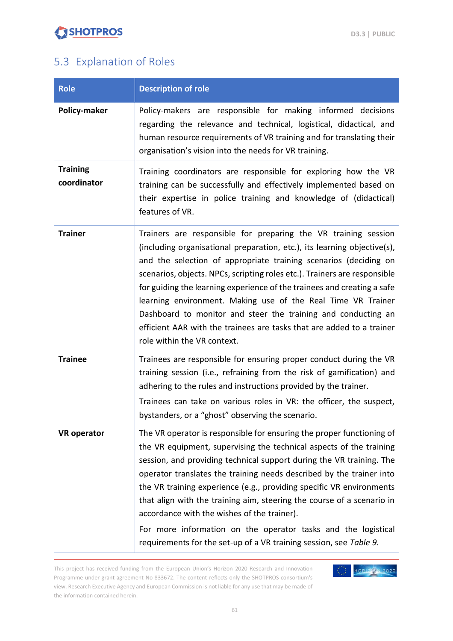

### <span id="page-60-0"></span>5.3 Explanation of Roles

| <b>Role</b>                    | <b>Description of role</b>                                                                                                                                                                                                                                                                                                                                                                                                                                                                                                                                                                                                           |
|--------------------------------|--------------------------------------------------------------------------------------------------------------------------------------------------------------------------------------------------------------------------------------------------------------------------------------------------------------------------------------------------------------------------------------------------------------------------------------------------------------------------------------------------------------------------------------------------------------------------------------------------------------------------------------|
| Policy-maker                   | Policy-makers are responsible for making informed decisions<br>regarding the relevance and technical, logistical, didactical, and<br>human resource requirements of VR training and for translating their<br>organisation's vision into the needs for VR training.                                                                                                                                                                                                                                                                                                                                                                   |
| <b>Training</b><br>coordinator | Training coordinators are responsible for exploring how the VR<br>training can be successfully and effectively implemented based on<br>their expertise in police training and knowledge of (didactical)<br>features of VR.                                                                                                                                                                                                                                                                                                                                                                                                           |
| <b>Trainer</b>                 | Trainers are responsible for preparing the VR training session<br>(including organisational preparation, etc.), its learning objective(s),<br>and the selection of appropriate training scenarios (deciding on<br>scenarios, objects. NPCs, scripting roles etc.). Trainers are responsible<br>for guiding the learning experience of the trainees and creating a safe<br>learning environment. Making use of the Real Time VR Trainer<br>Dashboard to monitor and steer the training and conducting an<br>efficient AAR with the trainees are tasks that are added to a trainer<br>role within the VR context.                      |
| <b>Trainee</b>                 | Trainees are responsible for ensuring proper conduct during the VR<br>training session (i.e., refraining from the risk of gamification) and<br>adhering to the rules and instructions provided by the trainer.<br>Trainees can take on various roles in VR: the officer, the suspect,<br>bystanders, or a "ghost" observing the scenario.                                                                                                                                                                                                                                                                                            |
| <b>VR</b> operator             | The VR operator is responsible for ensuring the proper functioning of<br>the VR equipment, supervising the technical aspects of the training<br>session, and providing technical support during the VR training. The<br>operator translates the training needs described by the trainer into<br>the VR training experience (e.g., providing specific VR environments<br>that align with the training aim, steering the course of a scenario in<br>accordance with the wishes of the trainer).<br>For more information on the operator tasks and the logistical<br>requirements for the set-up of a VR training session, see Table 9. |

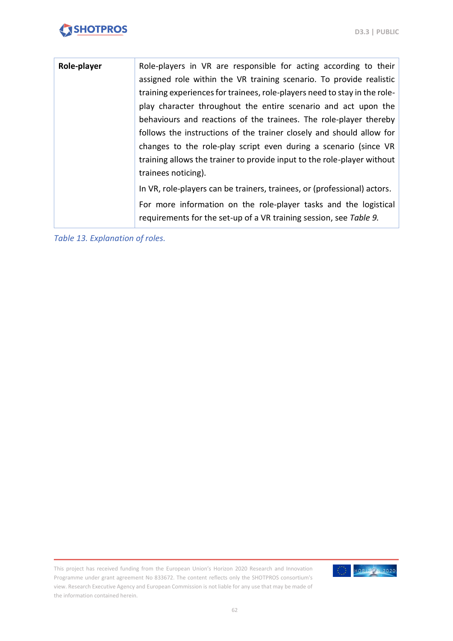| Role-player | Role-players in VR are responsible for acting according to their<br>assigned role within the VR training scenario. To provide realistic<br>training experiences for trainees, role-players need to stay in the role-<br>play character throughout the entire scenario and act upon the<br>behaviours and reactions of the trainees. The role-player thereby<br>follows the instructions of the trainer closely and should allow for<br>changes to the role-play script even during a scenario (since VR<br>training allows the trainer to provide input to the role-player without<br>trainees noticing). |
|-------------|-----------------------------------------------------------------------------------------------------------------------------------------------------------------------------------------------------------------------------------------------------------------------------------------------------------------------------------------------------------------------------------------------------------------------------------------------------------------------------------------------------------------------------------------------------------------------------------------------------------|
|             | In VR, role-players can be trainers, trainees, or (professional) actors.<br>For more information on the role-player tasks and the logistical<br>requirements for the set-up of a VR training session, see Table 9.                                                                                                                                                                                                                                                                                                                                                                                        |

<span id="page-61-0"></span>*Table 13. Explanation of roles.*

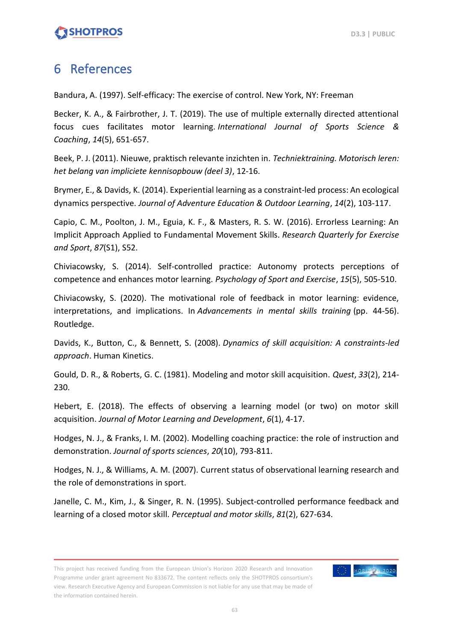### <span id="page-62-0"></span>6 References

Bandura, A. (1997). Self-efficacy: The exercise of control. New York, NY: Freeman

Becker, K. A., & Fairbrother, J. T. (2019). The use of multiple externally directed attentional focus cues facilitates motor learning. *International Journal of Sports Science & Coaching*, *14*(5), 651-657.

Beek, P. J. (2011). Nieuwe, praktisch relevante inzichten in. *Techniektraining. Motorisch leren: het belang van impliciete kennisopbouw (deel 3)*, 12-16.

Brymer, E., & Davids, K. (2014). Experiential learning as a constraint-led process: An ecological dynamics perspective. *Journal of Adventure Education & Outdoor Learning*, *14*(2), 103-117.

Capio, C. M., Poolton, J. M., Eguia, K. F., & Masters, R. S. W. (2016). Errorless Learning: An Implicit Approach Applied to Fundamental Movement Skills. *Research Quarterly for Exercise and Sport*, *87*(S1), S52.

Chiviacowsky, S. (2014). Self-controlled practice: Autonomy protects perceptions of competence and enhances motor learning. *Psychology of Sport and Exercise*, *15*(5), 505-510.

Chiviacowsky, S. (2020). The motivational role of feedback in motor learning: evidence, interpretations, and implications. In *Advancements in mental skills training* (pp. 44-56). Routledge.

Davids, K., Button, C., & Bennett, S. (2008). *Dynamics of skill acquisition: A constraints-led approach*. Human Kinetics.

Gould, D. R., & Roberts, G. C. (1981). Modeling and motor skill acquisition. *Quest*, *33*(2), 214- 230.

Hebert, E. (2018). The effects of observing a learning model (or two) on motor skill acquisition. *Journal of Motor Learning and Development*, *6*(1), 4-17.

Hodges, N. J., & Franks, I. M. (2002). Modelling coaching practice: the role of instruction and demonstration. *Journal of sports sciences*, *20*(10), 793-811.

Hodges, N. J., & Williams, A. M. (2007). Current status of observational learning research and the role of demonstrations in sport.

Janelle, C. M., Kim, J., & Singer, R. N. (1995). Subject-controlled performance feedback and learning of a closed motor skill. *Perceptual and motor skills*, *81*(2), 627-634.

This project has received funding from the European Union's Horizon 2020 Research and Innovation Programme under grant agreement No 833672. The content reflects only the SHOTPROS consortium's view. Research Executive Agency and European Commission is not liable for any use that may be made of the information contained herein.